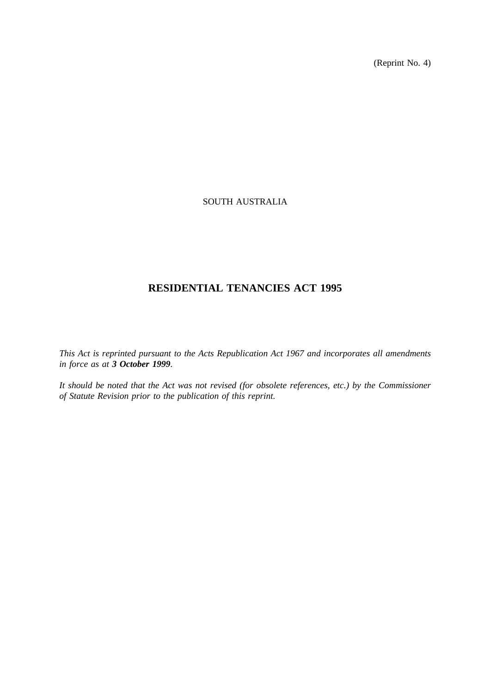(Reprint No. 4)

# SOUTH AUSTRALIA

# **RESIDENTIAL TENANCIES ACT 1995**

*This Act is reprinted pursuant to the Acts Republication Act 1967 and incorporates all amendments in force as at 3 October 1999.*

*It should be noted that the Act was not revised (for obsolete references, etc.) by the Commissioner of Statute Revision prior to the publication of this reprint.*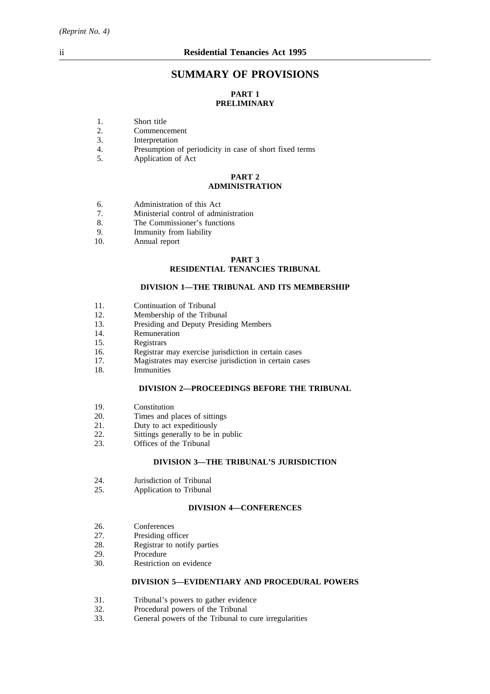# **SUMMARY OF PROVISIONS**

# **PART 1 PRELIMINARY**

- 1. Short title<br>2. Commence
- 2. Commencement<br>3. Interpretation
- 3. Interpretation<br>4. Presumption
- 4. Presumption of periodicity in case of short fixed terms<br>5. Application of Act
- Application of Act

## **PART 2 ADMINISTRATION**

- 6. Administration of this Act<br>
7. Ministerial control of admi
- 7. Ministerial control of administration<br>8 The Commissioner's functions
- The Commissioner's functions
- 9. Immunity from liability
- 10. Annual report

# **PART 3 RESIDENTIAL TENANCIES TRIBUNAL**

### **DIVISION 1—THE TRIBUNAL AND ITS MEMBERSHIP**

- 11. Continuation of Tribunal
- 12. Membership of the Tribunal
- 13. Presiding and Deputy Presiding Members
- 14. Remuneration
- 15. Registrars
- 16. Registrar may exercise jurisdiction in certain cases
- 17. Magistrates may exercise jurisdiction in certain cases
- 18. Immunities

### **DIVISION 2—PROCEEDINGS BEFORE THE TRIBUNAL**

- 19. Constitution
- 20. Times and places of sittings
- 21. Duty to act expeditiously<br>22. Sittings generally to be in
- 22. Sittings generally to be in public<br>23. Offices of the Tribunal
- Offices of the Tribunal

# **DIVISION 3—THE TRIBUNAL'S JURISDICTION**

- 24. Jurisdiction of Tribunal
- 25. Application to Tribunal

## **DIVISION 4—CONFERENCES**

- 26. Conferences<br>27. Presiding of
- 27. Presiding officer<br>28. Registrar to notif
- 28. Registrar to notify parties<br>29. Procedure
- 29. Procedure<br>30. Restriction
- Restriction on evidence

# **DIVISION 5—EVIDENTIARY AND PROCEDURAL POWERS**

- 31. Tribunal's powers to gather evidence<br>32. Procedural nowers of the Tribunal
- 32. Procedural powers of the Tribunal 33. General powers of the Tribunal to
- General powers of the Tribunal to cure irregularities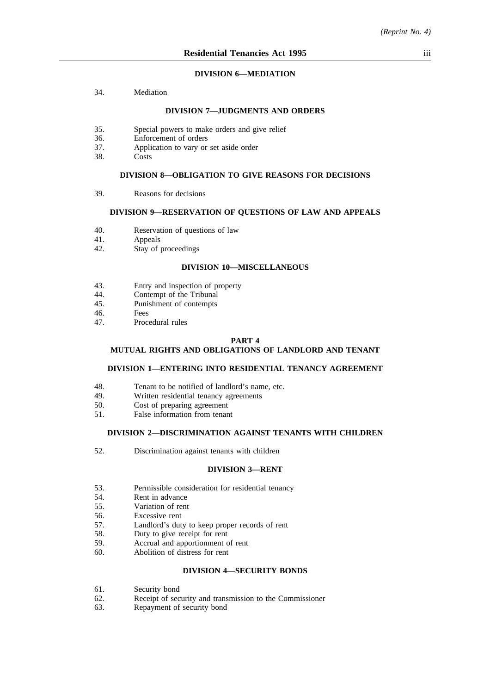### **DIVISION 6—MEDIATION**

34. Mediation

### **DIVISION 7—JUDGMENTS AND ORDERS**

- 35. Special powers to make orders and give relief
- 36. Enforcement of orders
- 37. Application to vary or set aside order
- 38. Costs

### **DIVISION 8—OBLIGATION TO GIVE REASONS FOR DECISIONS**

39. Reasons for decisions

## **DIVISION 9—RESERVATION OF QUESTIONS OF LAW AND APPEALS**

- 40. Reservation of questions of law<br>41. Appeals
- **Appeals**
- 42. Stay of proceedings

## **DIVISION 10—MISCELLANEOUS**

- 43. Entry and inspection of property<br>44. Contempt of the Tribunal
- 44. Contempt of the Tribunal<br>45 Punishment of contempts
- 45. Punishment of contempts<br>46
- 46. Fees<br>47 Proce
- Procedural rules

### **PART 4**

## **MUTUAL RIGHTS AND OBLIGATIONS OF LANDLORD AND TENANT**

### **DIVISION 1—ENTERING INTO RESIDENTIAL TENANCY AGREEMENT**

- 48. Tenant to be notified of landlord's name, etc.<br>49. Written residential tenancy agreements
- Written residential tenancy agreements
- 50. Cost of preparing agreement
- 51. False information from tenant

### **DIVISION 2—DISCRIMINATION AGAINST TENANTS WITH CHILDREN**

52. Discrimination against tenants with children

### **DIVISION 3—RENT**

- 53. Permissible consideration for residential tenancy
- 54. Rent in advance
- 55. Variation of rent
- 56. Excessive rent
- 57. Landlord's duty to keep proper records of rent
- 58. Duty to give receipt for rent
- 59. Accrual and apportionment of rent
- 60. Abolition of distress for rent

## **DIVISION 4—SECURITY BONDS**

- 61. Security bond
- 62. Receipt of security and transmission to the Commissioner
- 63. Repayment of security bond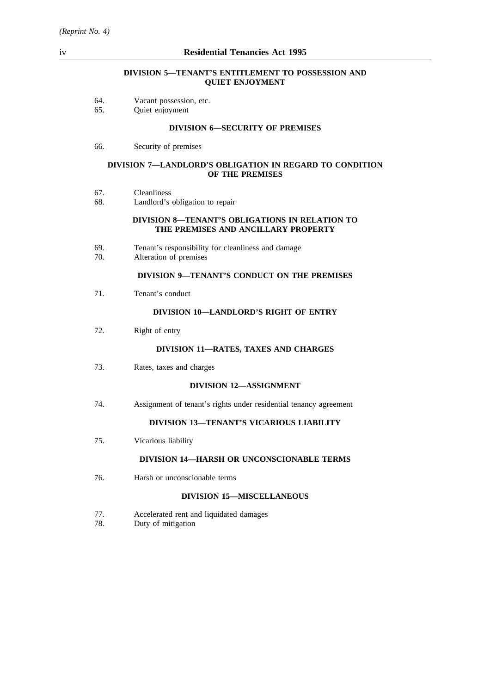## **DIVISION 5—TENANT'S ENTITLEMENT TO POSSESSION AND QUIET ENJOYMENT**

|  | Vacant possession, etc. |
|--|-------------------------|

65. Quiet enjoyment

### **DIVISION 6—SECURITY OF PREMISES**

66. Security of premises

### **DIVISION 7—LANDLORD'S OBLIGATION IN REGARD TO CONDITION OF THE PREMISES**

- 67. Cleanliness
- 68. Landlord's obligation to repair

## **DIVISION 8—TENANT'S OBLIGATIONS IN RELATION TO THE PREMISES AND ANCILLARY PROPERTY**

- 69. Tenant's responsibility for cleanliness and damage
- Alteration of premises

# **DIVISION 9—TENANT'S CONDUCT ON THE PREMISES**

71. Tenant's conduct

## **DIVISION 10—LANDLORD'S RIGHT OF ENTRY**

72. Right of entry

### **DIVISION 11—RATES, TAXES AND CHARGES**

73. Rates, taxes and charges

### **DIVISION 12—ASSIGNMENT**

74. Assignment of tenant's rights under residential tenancy agreement

# **DIVISION 13—TENANT'S VICARIOUS LIABILITY**

75. Vicarious liability

# **DIVISION 14—HARSH OR UNCONSCIONABLE TERMS**

76. Harsh or unconscionable terms

# **DIVISION 15—MISCELLANEOUS**

- 77. Accelerated rent and liquidated damages
- 78. Duty of mitigation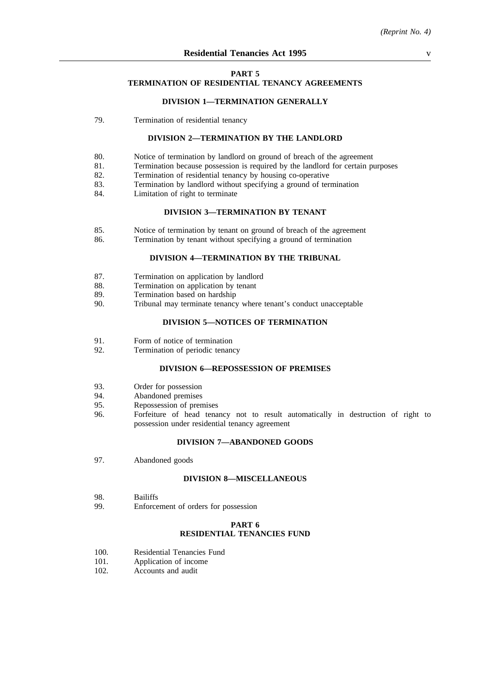### **PART 5**

# **TERMINATION OF RESIDENTIAL TENANCY AGREEMENTS**

### **DIVISION 1—TERMINATION GENERALLY**

79. Termination of residential tenancy

### **DIVISION 2—TERMINATION BY THE LANDLORD**

- 80. Notice of termination by landlord on ground of breach of the agreement
- 81. Termination because possession is required by the landlord for certain purposes
- 82. Termination of residential tenancy by housing co-operative
- 83. Termination by landlord without specifying a ground of termination
- 84. Limitation of right to terminate

## **DIVISION 3—TERMINATION BY TENANT**

- 85. Notice of termination by tenant on ground of breach of the agreement 86. Termination by tenant without specifying a ground of termination
	- Termination by tenant without specifying a ground of termination

# **DIVISION 4—TERMINATION BY THE TRIBUNAL**

- 87. Termination on application by landlord<br>88. Termination on application by tenant
- 88. Termination on application by tenant<br>89. Termination based on hardship
- 89. Termination based on hardship<br>90. Tribunal may terminate tenancy
- Tribunal may terminate tenancy where tenant's conduct unacceptable

# **DIVISION 5—NOTICES OF TERMINATION**

- 91. Form of notice of termination
- 92. Termination of periodic tenancy

### **DIVISION 6—REPOSSESSION OF PREMISES**

- 93. Order for possession<br>94. Abandoned premises
- Abandoned premises
- 95. Repossession of premises
- 96. Forfeiture of head tenancy not to result automatically in destruction of right to possession under residential tenancy agreement

### **DIVISION 7—ABANDONED GOODS**

97. Abandoned goods

### **DIVISION 8—MISCELLANEOUS**

- 98. Bailiffs
- 99. Enforcement of orders for possession

### **PART 6**

## **RESIDENTIAL TENANCIES FUND**

- 100. Residential Tenancies Fund
- 101. Application of income
- 102. Accounts and audit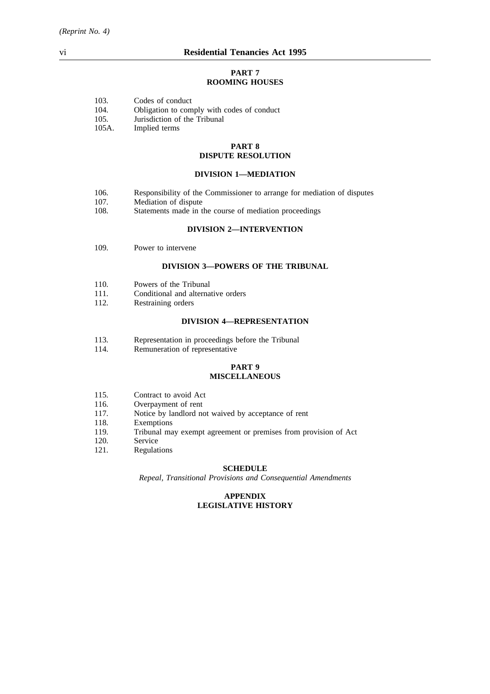### **PART 7 ROOMING HOUSES**

| 103. |  | Codes of conduct |
|------|--|------------------|
|      |  |                  |

- 104. Obligation to comply with codes of conduct
- 105. Jurisdiction of the Tribunal
- 105A. Implied terms

### **PART 8 DISPUTE RESOLUTION**

### **DIVISION 1—MEDIATION**

- 106. Responsibility of the Commissioner to arrange for mediation of disputes
- 107. Mediation of dispute
- 108. Statements made in the course of mediation proceedings

## **DIVISION 2—INTERVENTION**

109. Power to intervene

## **DIVISION 3—POWERS OF THE TRIBUNAL**

- 110. Powers of the Tribunal
- 111. Conditional and alternative orders
- 112. Restraining orders

### **DIVISION 4—REPRESENTATION**

- 113. Representation in proceedings before the Tribunal
- 114. Remuneration of representative

### **PART 9 MISCELLANEOUS**

- 115. Contract to avoid Act<br>116. Overpayment of rent
- 116. Overpayment of rent<br>117. Notice by landlord no
- 117. Notice by landlord not waived by acceptance of rent 118. Exemptions
- Exemptions
- 119. Tribunal may exempt agreement or premises from provision of Act
- 120. Service
- 121. Regulations

### **SCHEDULE**

*Repeal, Transitional Provisions and Consequential Amendments*

## **APPENDIX LEGISLATIVE HISTORY**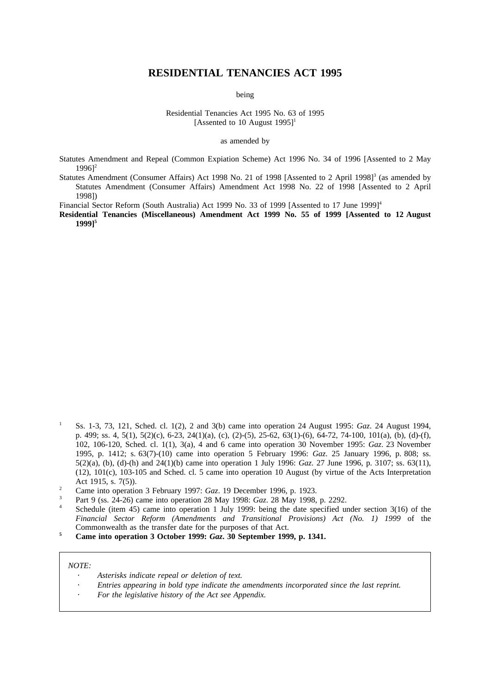# **RESIDENTIAL TENANCIES ACT 1995**

being

Residential Tenancies Act 1995 No. 63 of 1995 [Assented to 10 August  $1995$ ]<sup>1</sup>

as amended by

- Statutes Amendment and Repeal (Common Expiation Scheme) Act 1996 No. 34 of 1996 [Assented to 2 May  $19961^2$
- Statutes Amendment (Consumer Affairs) Act 1998 No. 21 of 1998 [Assented to 2 April 1998]<sup>3</sup> (as amended by Statutes Amendment (Consumer Affairs) Amendment Act 1998 No. 22 of 1998 [Assented to 2 April 1998])

Financial Sector Reform (South Australia) Act 1999 No. 33 of 1999 [Assented to 17 June 1999]<sup>4</sup>

**Residential Tenancies (Miscellaneous) Amendment Act 1999 No. 55 of 1999 [Assented to 12 August 1999]5**

- <sup>1</sup> Ss. 1-3, 73, 121, Sched. cl. 1(2), 2 and 3(b) came into operation 24 August 1995: *Gaz*. 24 August 1994, p. 499; ss. 4, 5(1), 5(2)(c), 6-23, 24(1)(a), (c), (2)-(5), 25-62, 63(1)-(6), 64-72, 74-100, 101(a), (b), (d)-(f), 102, 106-120, Sched. cl. 1(1), 3(a), 4 and 6 came into operation 30 November 1995: *Gaz*. 23 November 1995, p. 1412; s. 63(7)-(10) came into operation 5 February 1996: *Gaz*. 25 January 1996, p. 808; ss. 5(2)(a), (b), (d)-(h) and 24(1)(b) came into operation 1 July 1996: *Gaz*. 27 June 1996, p. 3107; ss. 63(11), (12), 101(c), 103-105 and Sched. cl. 5 came into operation 10 August (by virtue of the Acts Interpretation Act 1915, s. 7(5)).
- <sup>2</sup> Came into operation 3 February 1997: *Gaz*. 19 December 1996, p. 1923.
- <sup>3</sup> Part 9 (ss. 24-26) came into operation 28 May 1998: *Gaz*. 28 May 1998, p. 2292.
- Schedule (item 45) came into operation 1 July 1999: being the date specified under section 3(16) of the *Financial Sector Reform (Amendments and Transitional Provisions) Act (No. 1) 1999* of the Commonwealth as the transfer date for the purposes of that Act.
- **<sup>5</sup> Came into operation 3 October 1999:** *Gaz***. 30 September 1999, p. 1341.**

#### *NOTE:*

- *Asterisks indicate repeal or deletion of text.*
- *Entries appearing in bold type indicate the amendments incorporated since the last reprint.*
- *For the legislative history of the Act see Appendix.*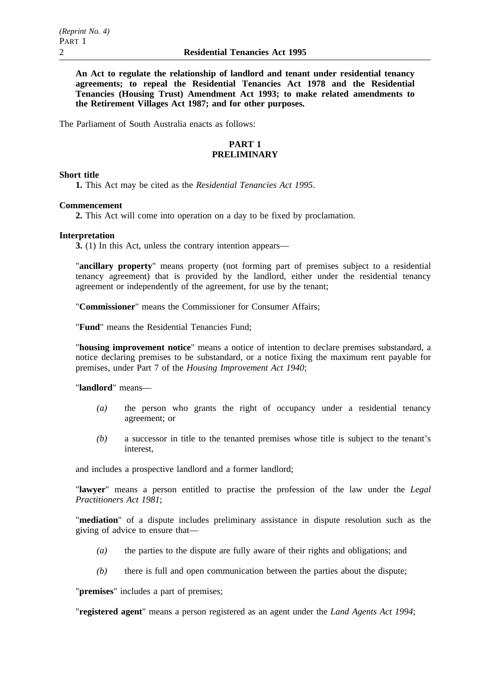**An Act to regulate the relationship of landlord and tenant under residential tenancy agreements; to repeal the Residential Tenancies Act 1978 and the Residential Tenancies (Housing Trust) Amendment Act 1993; to make related amendments to the Retirement Villages Act 1987; and for other purposes.**

The Parliament of South Australia enacts as follows:

# **PART 1 PRELIMINARY**

## **Short title**

**1.** This Act may be cited as the *Residential Tenancies Act 1995*.

### **Commencement**

**2.** This Act will come into operation on a day to be fixed by proclamation.

### **Interpretation**

**3.** (1) In this Act, unless the contrary intention appears—

"**ancillary property**" means property (not forming part of premises subject to a residential tenancy agreement) that is provided by the landlord, either under the residential tenancy agreement or independently of the agreement, for use by the tenant;

"**Commissioner**" means the Commissioner for Consumer Affairs;

"**Fund**" means the Residential Tenancies Fund;

"**housing improvement notice**" means a notice of intention to declare premises substandard, a notice declaring premises to be substandard, or a notice fixing the maximum rent payable for premises, under Part 7 of the *Housing Improvement Act 1940*;

"**landlord**" means—

- *(a)* the person who grants the right of occupancy under a residential tenancy agreement; or
- *(b)* a successor in title to the tenanted premises whose title is subject to the tenant's interest,

and includes a prospective landlord and a former landlord;

"**lawyer**" means a person entitled to practise the profession of the law under the *Legal Practitioners Act 1981*;

"**mediation**" of a dispute includes preliminary assistance in dispute resolution such as the giving of advice to ensure that—

- *(a)* the parties to the dispute are fully aware of their rights and obligations; and
- *(b)* there is full and open communication between the parties about the dispute;

"**premises**" includes a part of premises;

"**registered agent**" means a person registered as an agent under the *Land Agents Act 1994*;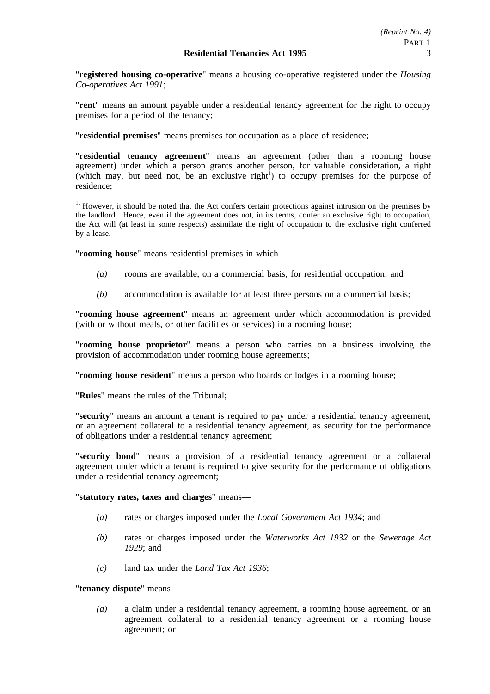"**registered housing co-operative**" means a housing co-operative registered under the *Housing Co-operatives Act 1991*;

"**rent**" means an amount payable under a residential tenancy agreement for the right to occupy premises for a period of the tenancy;

"**residential premises**" means premises for occupation as a place of residence;

"**residential tenancy agreement**" means an agreement (other than a rooming house agreement) under which a person grants another person, for valuable consideration, a right (which may, but need not, be an exclusive right<sup>1</sup>) to occupy premises for the purpose of residence;

<sup>1.</sup> However, it should be noted that the Act confers certain protections against intrusion on the premises by the landlord. Hence, even if the agreement does not, in its terms, confer an exclusive right to occupation, the Act will (at least in some respects) assimilate the right of occupation to the exclusive right conferred by a lease.

"**rooming house**" means residential premises in which—

- *(a)* rooms are available, on a commercial basis, for residential occupation; and
- *(b)* accommodation is available for at least three persons on a commercial basis;

"**rooming house agreement**" means an agreement under which accommodation is provided (with or without meals, or other facilities or services) in a rooming house;

"**rooming house proprietor**" means a person who carries on a business involving the provision of accommodation under rooming house agreements;

"**rooming house resident**" means a person who boards or lodges in a rooming house;

"**Rules**" means the rules of the Tribunal;

"**security**" means an amount a tenant is required to pay under a residential tenancy agreement, or an agreement collateral to a residential tenancy agreement, as security for the performance of obligations under a residential tenancy agreement;

"**security bond**" means a provision of a residential tenancy agreement or a collateral agreement under which a tenant is required to give security for the performance of obligations under a residential tenancy agreement;

## "**statutory rates, taxes and charges**" means—

- *(a)* rates or charges imposed under the *Local Government Act 1934*; and
- *(b)* rates or charges imposed under the *Waterworks Act 1932* or the *Sewerage Act 1929*; and
- *(c)* land tax under the *Land Tax Act 1936*;

## "**tenancy dispute**" means—

*(a)* a claim under a residential tenancy agreement, a rooming house agreement, or an agreement collateral to a residential tenancy agreement or a rooming house agreement; or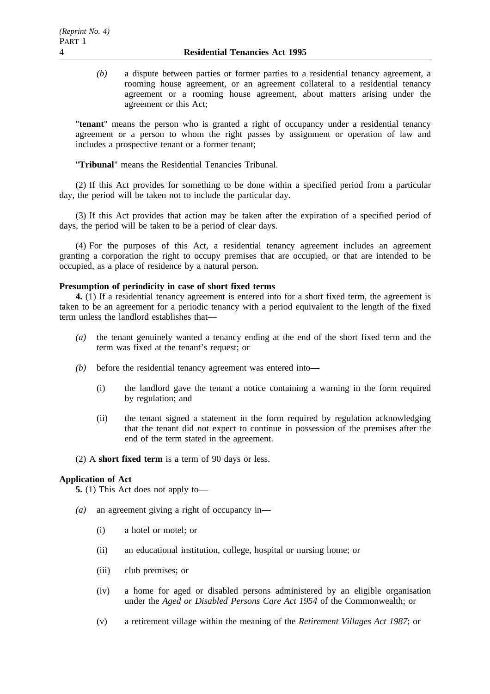*(b)* a dispute between parties or former parties to a residential tenancy agreement, a rooming house agreement, or an agreement collateral to a residential tenancy agreement or a rooming house agreement, about matters arising under the agreement or this Act;

"**tenant**" means the person who is granted a right of occupancy under a residential tenancy agreement or a person to whom the right passes by assignment or operation of law and includes a prospective tenant or a former tenant;

"**Tribunal**" means the Residential Tenancies Tribunal.

(2) If this Act provides for something to be done within a specified period from a particular day, the period will be taken not to include the particular day.

(3) If this Act provides that action may be taken after the expiration of a specified period of days, the period will be taken to be a period of clear days.

(4) For the purposes of this Act, a residential tenancy agreement includes an agreement granting a corporation the right to occupy premises that are occupied, or that are intended to be occupied, as a place of residence by a natural person.

# **Presumption of periodicity in case of short fixed terms**

**4.** (1) If a residential tenancy agreement is entered into for a short fixed term, the agreement is taken to be an agreement for a periodic tenancy with a period equivalent to the length of the fixed term unless the landlord establishes that—

- *(a)* the tenant genuinely wanted a tenancy ending at the end of the short fixed term and the term was fixed at the tenant's request; or
- *(b)* before the residential tenancy agreement was entered into—
	- (i) the landlord gave the tenant a notice containing a warning in the form required by regulation; and
	- (ii) the tenant signed a statement in the form required by regulation acknowledging that the tenant did not expect to continue in possession of the premises after the end of the term stated in the agreement.
- (2) A **short fixed term** is a term of 90 days or less.

## **Application of Act**

**5.** (1) This Act does not apply to—

- *(a)* an agreement giving a right of occupancy in—
	- (i) a hotel or motel; or
	- (ii) an educational institution, college, hospital or nursing home; or
	- (iii) club premises; or
	- (iv) a home for aged or disabled persons administered by an eligible organisation under the *Aged or Disabled Persons Care Act 1954* of the Commonwealth; or
	- (v) a retirement village within the meaning of the *Retirement Villages Act 1987*; or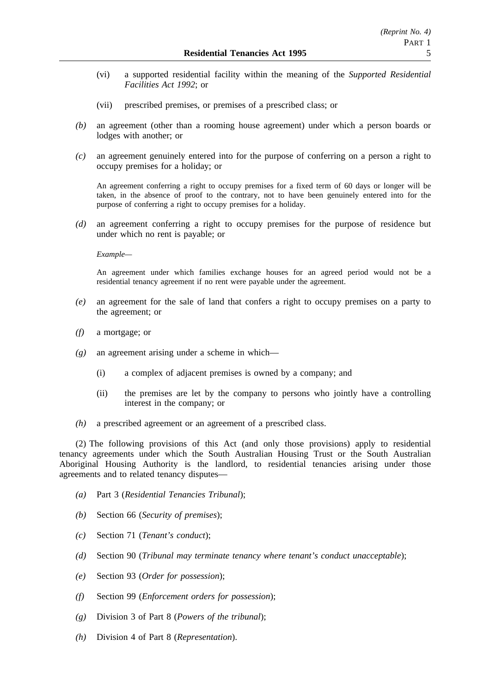- (vi) a supported residential facility within the meaning of the *Supported Residential Facilities Act 1992*; or
- (vii) prescribed premises, or premises of a prescribed class; or
- *(b)* an agreement (other than a rooming house agreement) under which a person boards or lodges with another; or
- *(c)* an agreement genuinely entered into for the purpose of conferring on a person a right to occupy premises for a holiday; or

An agreement conferring a right to occupy premises for a fixed term of 60 days or longer will be taken, in the absence of proof to the contrary, not to have been genuinely entered into for the purpose of conferring a right to occupy premises for a holiday.

*(d)* an agreement conferring a right to occupy premises for the purpose of residence but under which no rent is payable; or

*Example—*

An agreement under which families exchange houses for an agreed period would not be a residential tenancy agreement if no rent were payable under the agreement.

- *(e)* an agreement for the sale of land that confers a right to occupy premises on a party to the agreement; or
- *(f)* a mortgage; or
- *(g)* an agreement arising under a scheme in which—
	- (i) a complex of adjacent premises is owned by a company; and
	- (ii) the premises are let by the company to persons who jointly have a controlling interest in the company; or
- *(h)* a prescribed agreement or an agreement of a prescribed class.

(2) The following provisions of this Act (and only those provisions) apply to residential tenancy agreements under which the South Australian Housing Trust or the South Australian Aboriginal Housing Authority is the landlord, to residential tenancies arising under those agreements and to related tenancy disputes—

- *(a)* Part 3 (*Residential Tenancies Tribunal*);
- *(b)* Section 66 (*Security of premises*);
- *(c)* Section 71 (*Tenant's conduct*);
- *(d)* Section 90 (*Tribunal may terminate tenancy where tenant's conduct unacceptable*);
- *(e)* Section 93 (*Order for possession*);
- *(f)* Section 99 (*Enforcement orders for possession*);
- *(g)* Division 3 of Part 8 (*Powers of the tribunal*);
- *(h)* Division 4 of Part 8 (*Representation*).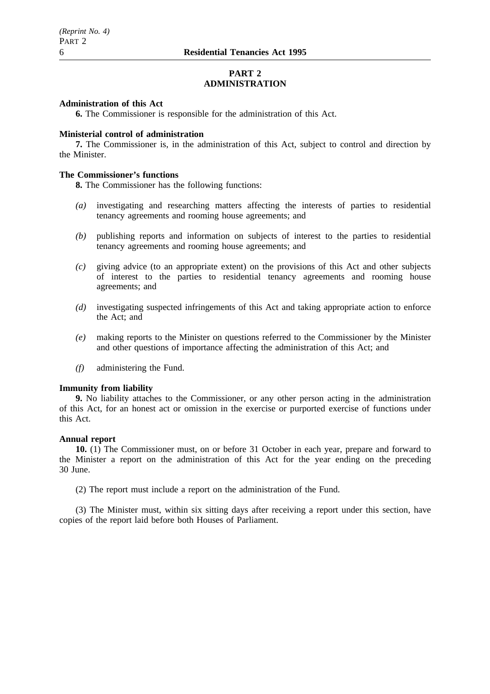# **PART 2 ADMINISTRATION**

## **Administration of this Act**

**6.** The Commissioner is responsible for the administration of this Act.

### **Ministerial control of administration**

**7.** The Commissioner is, in the administration of this Act, subject to control and direction by the Minister.

## **The Commissioner's functions**

**8.** The Commissioner has the following functions:

- *(a)* investigating and researching matters affecting the interests of parties to residential tenancy agreements and rooming house agreements; and
- *(b)* publishing reports and information on subjects of interest to the parties to residential tenancy agreements and rooming house agreements; and
- *(c)* giving advice (to an appropriate extent) on the provisions of this Act and other subjects of interest to the parties to residential tenancy agreements and rooming house agreements; and
- *(d)* investigating suspected infringements of this Act and taking appropriate action to enforce the Act; and
- *(e)* making reports to the Minister on questions referred to the Commissioner by the Minister and other questions of importance affecting the administration of this Act; and
- *(f)* administering the Fund.

### **Immunity from liability**

**9.** No liability attaches to the Commissioner, or any other person acting in the administration of this Act, for an honest act or omission in the exercise or purported exercise of functions under this Act.

## **Annual report**

**10.** (1) The Commissioner must, on or before 31 October in each year, prepare and forward to the Minister a report on the administration of this Act for the year ending on the preceding 30 June.

(2) The report must include a report on the administration of the Fund.

(3) The Minister must, within six sitting days after receiving a report under this section, have copies of the report laid before both Houses of Parliament.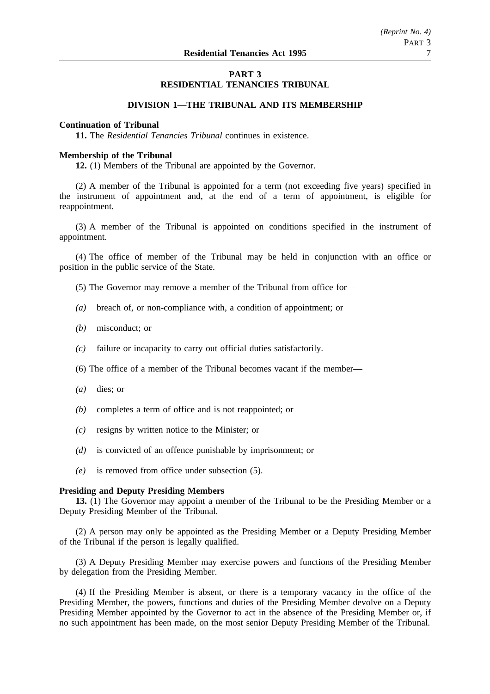# **PART 3 RESIDENTIAL TENANCIES TRIBUNAL**

# **DIVISION 1—THE TRIBUNAL AND ITS MEMBERSHIP**

# **Continuation of Tribunal**

**11.** The *Residential Tenancies Tribunal* continues in existence.

## **Membership of the Tribunal**

**12.** (1) Members of the Tribunal are appointed by the Governor.

(2) A member of the Tribunal is appointed for a term (not exceeding five years) specified in the instrument of appointment and, at the end of a term of appointment, is eligible for reappointment.

(3) A member of the Tribunal is appointed on conditions specified in the instrument of appointment.

(4) The office of member of the Tribunal may be held in conjunction with an office or position in the public service of the State.

- (5) The Governor may remove a member of the Tribunal from office for—
- *(a)* breach of, or non-compliance with, a condition of appointment; or
- *(b)* misconduct; or
- *(c)* failure or incapacity to carry out official duties satisfactorily.
- (6) The office of a member of the Tribunal becomes vacant if the member—
- *(a)* dies; or
- *(b)* completes a term of office and is not reappointed; or
- *(c)* resigns by written notice to the Minister; or
- *(d)* is convicted of an offence punishable by imprisonment; or
- *(e)* is removed from office under subsection (5).

## **Presiding and Deputy Presiding Members**

**13.** (1) The Governor may appoint a member of the Tribunal to be the Presiding Member or a Deputy Presiding Member of the Tribunal.

(2) A person may only be appointed as the Presiding Member or a Deputy Presiding Member of the Tribunal if the person is legally qualified.

(3) A Deputy Presiding Member may exercise powers and functions of the Presiding Member by delegation from the Presiding Member.

(4) If the Presiding Member is absent, or there is a temporary vacancy in the office of the Presiding Member, the powers, functions and duties of the Presiding Member devolve on a Deputy Presiding Member appointed by the Governor to act in the absence of the Presiding Member or, if no such appointment has been made, on the most senior Deputy Presiding Member of the Tribunal.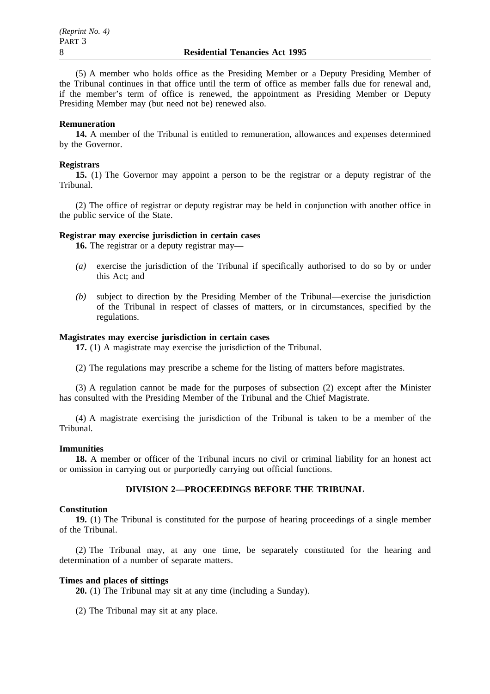(5) A member who holds office as the Presiding Member or a Deputy Presiding Member of the Tribunal continues in that office until the term of office as member falls due for renewal and, if the member's term of office is renewed, the appointment as Presiding Member or Deputy Presiding Member may (but need not be) renewed also.

### **Remuneration**

**14.** A member of the Tribunal is entitled to remuneration, allowances and expenses determined by the Governor.

### **Registrars**

**15.** (1) The Governor may appoint a person to be the registrar or a deputy registrar of the Tribunal.

(2) The office of registrar or deputy registrar may be held in conjunction with another office in the public service of the State.

## **Registrar may exercise jurisdiction in certain cases**

**16.** The registrar or a deputy registrar may—

- *(a)* exercise the jurisdiction of the Tribunal if specifically authorised to do so by or under this Act; and
- *(b)* subject to direction by the Presiding Member of the Tribunal—exercise the jurisdiction of the Tribunal in respect of classes of matters, or in circumstances, specified by the regulations.

# **Magistrates may exercise jurisdiction in certain cases**

**17.** (1) A magistrate may exercise the jurisdiction of the Tribunal.

(2) The regulations may prescribe a scheme for the listing of matters before magistrates.

(3) A regulation cannot be made for the purposes of subsection (2) except after the Minister has consulted with the Presiding Member of the Tribunal and the Chief Magistrate.

(4) A magistrate exercising the jurisdiction of the Tribunal is taken to be a member of the Tribunal.

### **Immunities**

**18.** A member or officer of the Tribunal incurs no civil or criminal liability for an honest act or omission in carrying out or purportedly carrying out official functions.

## **DIVISION 2—PROCEEDINGS BEFORE THE TRIBUNAL**

## **Constitution**

**19.** (1) The Tribunal is constituted for the purpose of hearing proceedings of a single member of the Tribunal.

(2) The Tribunal may, at any one time, be separately constituted for the hearing and determination of a number of separate matters.

## **Times and places of sittings**

**20.** (1) The Tribunal may sit at any time (including a Sunday).

(2) The Tribunal may sit at any place.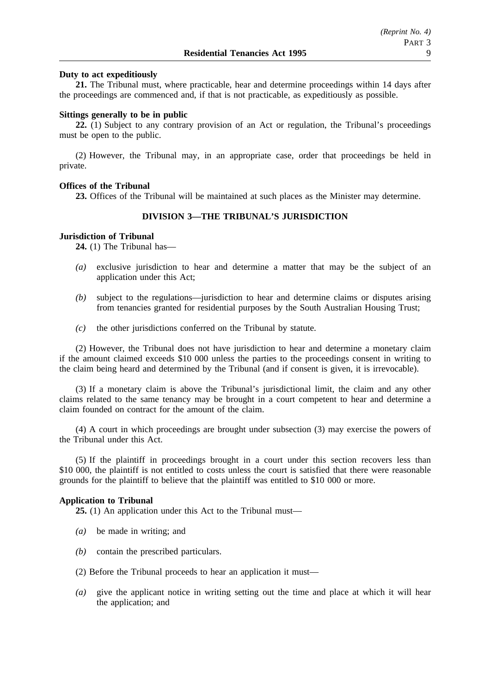## **Duty to act expeditiously**

**21.** The Tribunal must, where practicable, hear and determine proceedings within 14 days after the proceedings are commenced and, if that is not practicable, as expeditiously as possible.

### **Sittings generally to be in public**

**22.** (1) Subject to any contrary provision of an Act or regulation, the Tribunal's proceedings must be open to the public.

(2) However, the Tribunal may, in an appropriate case, order that proceedings be held in private.

### **Offices of the Tribunal**

**23.** Offices of the Tribunal will be maintained at such places as the Minister may determine.

# **DIVISION 3—THE TRIBUNAL'S JURISDICTION**

### **Jurisdiction of Tribunal**

**24.** (1) The Tribunal has—

- *(a)* exclusive jurisdiction to hear and determine a matter that may be the subject of an application under this Act;
- *(b)* subject to the regulations—jurisdiction to hear and determine claims or disputes arising from tenancies granted for residential purposes by the South Australian Housing Trust;
- *(c)* the other jurisdictions conferred on the Tribunal by statute.

(2) However, the Tribunal does not have jurisdiction to hear and determine a monetary claim if the amount claimed exceeds \$10 000 unless the parties to the proceedings consent in writing to the claim being heard and determined by the Tribunal (and if consent is given, it is irrevocable).

(3) If a monetary claim is above the Tribunal's jurisdictional limit, the claim and any other claims related to the same tenancy may be brought in a court competent to hear and determine a claim founded on contract for the amount of the claim.

(4) A court in which proceedings are brought under subsection (3) may exercise the powers of the Tribunal under this Act.

(5) If the plaintiff in proceedings brought in a court under this section recovers less than \$10 000, the plaintiff is not entitled to costs unless the court is satisfied that there were reasonable grounds for the plaintiff to believe that the plaintiff was entitled to \$10 000 or more.

### **Application to Tribunal**

**25.** (1) An application under this Act to the Tribunal must—

- *(a)* be made in writing; and
- *(b)* contain the prescribed particulars.
- (2) Before the Tribunal proceeds to hear an application it must—
- *(a)* give the applicant notice in writing setting out the time and place at which it will hear the application; and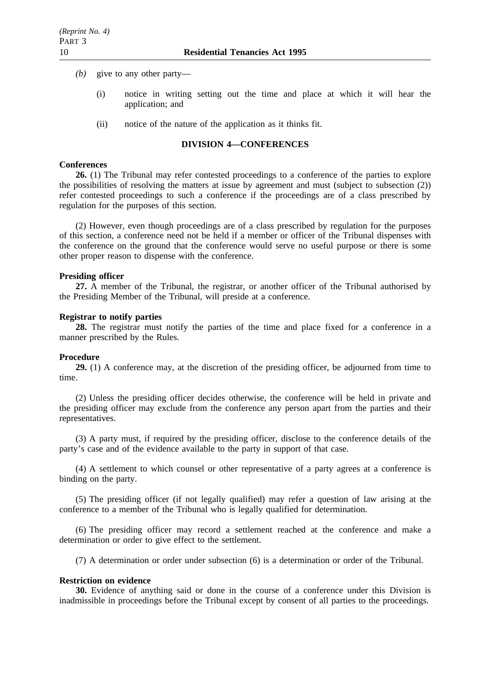- *(b)* give to any other party—
	- (i) notice in writing setting out the time and place at which it will hear the application; and
	- (ii) notice of the nature of the application as it thinks fit.

# **DIVISION 4—CONFERENCES**

### **Conferences**

**26.** (1) The Tribunal may refer contested proceedings to a conference of the parties to explore the possibilities of resolving the matters at issue by agreement and must (subject to subsection (2)) refer contested proceedings to such a conference if the proceedings are of a class prescribed by regulation for the purposes of this section.

(2) However, even though proceedings are of a class prescribed by regulation for the purposes of this section, a conference need not be held if a member or officer of the Tribunal dispenses with the conference on the ground that the conference would serve no useful purpose or there is some other proper reason to dispense with the conference.

### **Presiding officer**

**27.** A member of the Tribunal, the registrar, or another officer of the Tribunal authorised by the Presiding Member of the Tribunal, will preside at a conference.

### **Registrar to notify parties**

**28.** The registrar must notify the parties of the time and place fixed for a conference in a manner prescribed by the Rules.

### **Procedure**

**29.** (1) A conference may, at the discretion of the presiding officer, be adjourned from time to time.

(2) Unless the presiding officer decides otherwise, the conference will be held in private and the presiding officer may exclude from the conference any person apart from the parties and their representatives.

(3) A party must, if required by the presiding officer, disclose to the conference details of the party's case and of the evidence available to the party in support of that case.

(4) A settlement to which counsel or other representative of a party agrees at a conference is binding on the party.

(5) The presiding officer (if not legally qualified) may refer a question of law arising at the conference to a member of the Tribunal who is legally qualified for determination.

(6) The presiding officer may record a settlement reached at the conference and make a determination or order to give effect to the settlement.

(7) A determination or order under subsection (6) is a determination or order of the Tribunal.

### **Restriction on evidence**

**30.** Evidence of anything said or done in the course of a conference under this Division is inadmissible in proceedings before the Tribunal except by consent of all parties to the proceedings.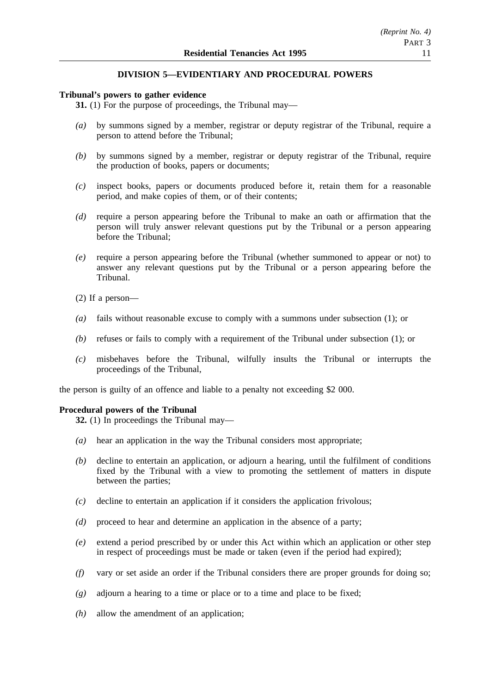# **DIVISION 5—EVIDENTIARY AND PROCEDURAL POWERS**

## **Tribunal's powers to gather evidence**

**31.** (1) For the purpose of proceedings, the Tribunal may—

- *(a)* by summons signed by a member, registrar or deputy registrar of the Tribunal, require a person to attend before the Tribunal;
- *(b)* by summons signed by a member, registrar or deputy registrar of the Tribunal, require the production of books, papers or documents;
- *(c)* inspect books, papers or documents produced before it, retain them for a reasonable period, and make copies of them, or of their contents;
- *(d)* require a person appearing before the Tribunal to make an oath or affirmation that the person will truly answer relevant questions put by the Tribunal or a person appearing before the Tribunal;
- *(e)* require a person appearing before the Tribunal (whether summoned to appear or not) to answer any relevant questions put by the Tribunal or a person appearing before the Tribunal.
- (2) If a person—
- *(a)* fails without reasonable excuse to comply with a summons under subsection (1); or
- *(b)* refuses or fails to comply with a requirement of the Tribunal under subsection (1); or
- *(c)* misbehaves before the Tribunal, wilfully insults the Tribunal or interrupts the proceedings of the Tribunal,

the person is guilty of an offence and liable to a penalty not exceeding \$2 000.

# **Procedural powers of the Tribunal**

**32.** (1) In proceedings the Tribunal may—

- *(a)* hear an application in the way the Tribunal considers most appropriate;
- *(b)* decline to entertain an application, or adjourn a hearing, until the fulfilment of conditions fixed by the Tribunal with a view to promoting the settlement of matters in dispute between the parties;
- *(c)* decline to entertain an application if it considers the application frivolous;
- *(d)* proceed to hear and determine an application in the absence of a party;
- *(e)* extend a period prescribed by or under this Act within which an application or other step in respect of proceedings must be made or taken (even if the period had expired);
- *(f)* vary or set aside an order if the Tribunal considers there are proper grounds for doing so;
- *(g)* adjourn a hearing to a time or place or to a time and place to be fixed;
- *(h)* allow the amendment of an application;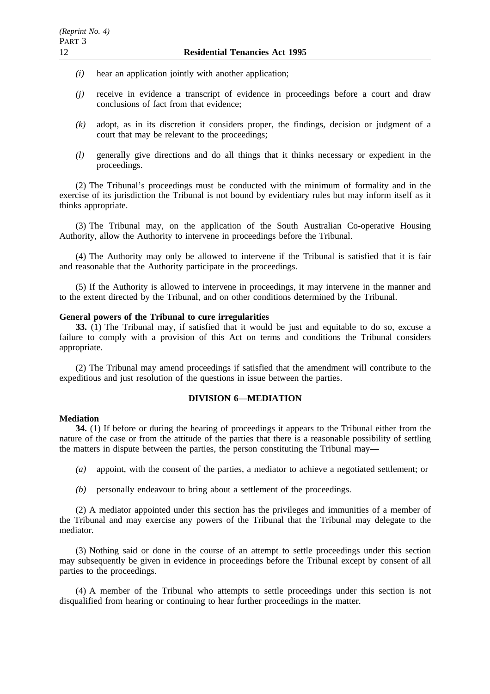- *(i)* hear an application jointly with another application;
- *(j)* receive in evidence a transcript of evidence in proceedings before a court and draw conclusions of fact from that evidence;
- *(k)* adopt, as in its discretion it considers proper, the findings, decision or judgment of a court that may be relevant to the proceedings;
- *(l)* generally give directions and do all things that it thinks necessary or expedient in the proceedings.

(2) The Tribunal's proceedings must be conducted with the minimum of formality and in the exercise of its jurisdiction the Tribunal is not bound by evidentiary rules but may inform itself as it thinks appropriate.

(3) The Tribunal may, on the application of the South Australian Co-operative Housing Authority, allow the Authority to intervene in proceedings before the Tribunal.

(4) The Authority may only be allowed to intervene if the Tribunal is satisfied that it is fair and reasonable that the Authority participate in the proceedings.

(5) If the Authority is allowed to intervene in proceedings, it may intervene in the manner and to the extent directed by the Tribunal, and on other conditions determined by the Tribunal.

### **General powers of the Tribunal to cure irregularities**

**33.** (1) The Tribunal may, if satisfied that it would be just and equitable to do so, excuse a failure to comply with a provision of this Act on terms and conditions the Tribunal considers appropriate.

(2) The Tribunal may amend proceedings if satisfied that the amendment will contribute to the expeditious and just resolution of the questions in issue between the parties.

# **DIVISION 6—MEDIATION**

#### **Mediation**

**34.** (1) If before or during the hearing of proceedings it appears to the Tribunal either from the nature of the case or from the attitude of the parties that there is a reasonable possibility of settling the matters in dispute between the parties, the person constituting the Tribunal may—

- *(a)* appoint, with the consent of the parties, a mediator to achieve a negotiated settlement; or
- *(b)* personally endeavour to bring about a settlement of the proceedings.

(2) A mediator appointed under this section has the privileges and immunities of a member of the Tribunal and may exercise any powers of the Tribunal that the Tribunal may delegate to the mediator.

(3) Nothing said or done in the course of an attempt to settle proceedings under this section may subsequently be given in evidence in proceedings before the Tribunal except by consent of all parties to the proceedings.

(4) A member of the Tribunal who attempts to settle proceedings under this section is not disqualified from hearing or continuing to hear further proceedings in the matter.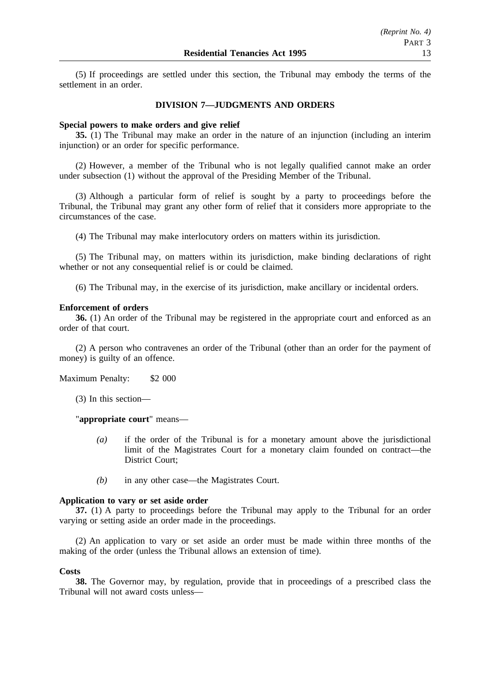(5) If proceedings are settled under this section, the Tribunal may embody the terms of the settlement in an order.

## **DIVISION 7—JUDGMENTS AND ORDERS**

### **Special powers to make orders and give relief**

**35.** (1) The Tribunal may make an order in the nature of an injunction (including an interim injunction) or an order for specific performance.

(2) However, a member of the Tribunal who is not legally qualified cannot make an order under subsection (1) without the approval of the Presiding Member of the Tribunal.

(3) Although a particular form of relief is sought by a party to proceedings before the Tribunal, the Tribunal may grant any other form of relief that it considers more appropriate to the circumstances of the case.

(4) The Tribunal may make interlocutory orders on matters within its jurisdiction.

(5) The Tribunal may, on matters within its jurisdiction, make binding declarations of right whether or not any consequential relief is or could be claimed.

(6) The Tribunal may, in the exercise of its jurisdiction, make ancillary or incidental orders.

### **Enforcement of orders**

**36.** (1) An order of the Tribunal may be registered in the appropriate court and enforced as an order of that court.

(2) A person who contravenes an order of the Tribunal (other than an order for the payment of money) is guilty of an offence.

Maximum Penalty: \$2 000

(3) In this section—

"**appropriate court**" means—

- *(a)* if the order of the Tribunal is for a monetary amount above the jurisdictional limit of the Magistrates Court for a monetary claim founded on contract—the District Court;
- *(b)* in any other case—the Magistrates Court.

# **Application to vary or set aside order**

**37.** (1) A party to proceedings before the Tribunal may apply to the Tribunal for an order varying or setting aside an order made in the proceedings.

(2) An application to vary or set aside an order must be made within three months of the making of the order (unless the Tribunal allows an extension of time).

### **Costs**

**38.** The Governor may, by regulation, provide that in proceedings of a prescribed class the Tribunal will not award costs unless—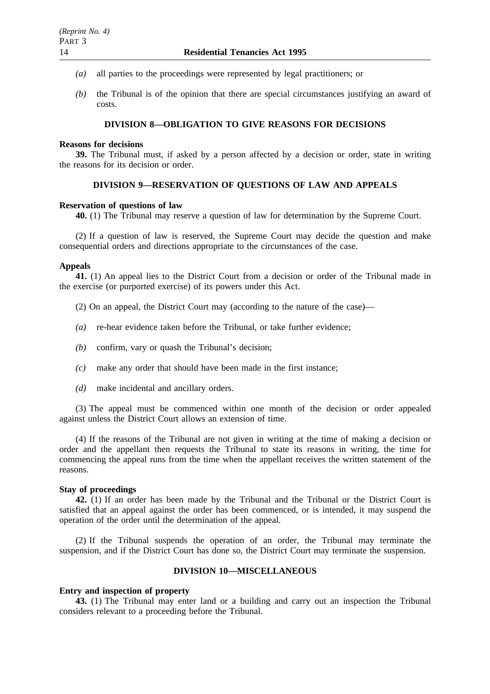- *(a)* all parties to the proceedings were represented by legal practitioners; or
- *(b)* the Tribunal is of the opinion that there are special circumstances justifying an award of costs.

# **DIVISION 8—OBLIGATION TO GIVE REASONS FOR DECISIONS**

### **Reasons for decisions**

**39.** The Tribunal must, if asked by a person affected by a decision or order, state in writing the reasons for its decision or order.

# **DIVISION 9—RESERVATION OF QUESTIONS OF LAW AND APPEALS**

### **Reservation of questions of law**

**40.** (1) The Tribunal may reserve a question of law for determination by the Supreme Court.

(2) If a question of law is reserved, the Supreme Court may decide the question and make consequential orders and directions appropriate to the circumstances of the case.

## **Appeals**

**41.** (1) An appeal lies to the District Court from a decision or order of the Tribunal made in the exercise (or purported exercise) of its powers under this Act.

- (2) On an appeal, the District Court may (according to the nature of the case)—
- *(a)* re-hear evidence taken before the Tribunal, or take further evidence;
- *(b)* confirm, vary or quash the Tribunal's decision;
- *(c)* make any order that should have been made in the first instance;
- *(d)* make incidental and ancillary orders.

(3) The appeal must be commenced within one month of the decision or order appealed against unless the District Court allows an extension of time.

(4) If the reasons of the Tribunal are not given in writing at the time of making a decision or order and the appellant then requests the Tribunal to state its reasons in writing, the time for commencing the appeal runs from the time when the appellant receives the written statement of the reasons.

### **Stay of proceedings**

**42.** (1) If an order has been made by the Tribunal and the Tribunal or the District Court is satisfied that an appeal against the order has been commenced, or is intended, it may suspend the operation of the order until the determination of the appeal.

(2) If the Tribunal suspends the operation of an order, the Tribunal may terminate the suspension, and if the District Court has done so, the District Court may terminate the suspension.

# **DIVISION 10—MISCELLANEOUS**

### **Entry and inspection of property**

**43.** (1) The Tribunal may enter land or a building and carry out an inspection the Tribunal considers relevant to a proceeding before the Tribunal.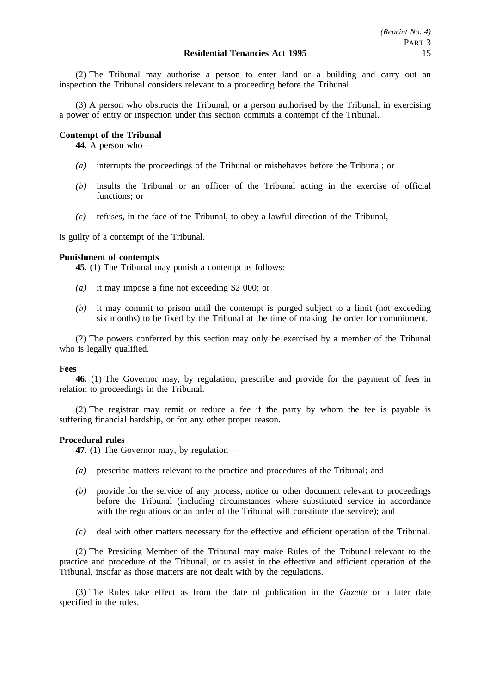(2) The Tribunal may authorise a person to enter land or a building and carry out an inspection the Tribunal considers relevant to a proceeding before the Tribunal.

(3) A person who obstructs the Tribunal, or a person authorised by the Tribunal, in exercising a power of entry or inspection under this section commits a contempt of the Tribunal.

## **Contempt of the Tribunal**

**44.** A person who—

- *(a)* interrupts the proceedings of the Tribunal or misbehaves before the Tribunal; or
- *(b)* insults the Tribunal or an officer of the Tribunal acting in the exercise of official functions; or
- *(c)* refuses, in the face of the Tribunal, to obey a lawful direction of the Tribunal,

is guilty of a contempt of the Tribunal.

# **Punishment of contempts**

**45.** (1) The Tribunal may punish a contempt as follows:

- *(a)* it may impose a fine not exceeding \$2 000; or
- *(b)* it may commit to prison until the contempt is purged subject to a limit (not exceeding six months) to be fixed by the Tribunal at the time of making the order for commitment.

(2) The powers conferred by this section may only be exercised by a member of the Tribunal who is legally qualified.

## **Fees**

**46.** (1) The Governor may, by regulation, prescribe and provide for the payment of fees in relation to proceedings in the Tribunal.

(2) The registrar may remit or reduce a fee if the party by whom the fee is payable is suffering financial hardship, or for any other proper reason.

## **Procedural rules**

**47.** (1) The Governor may, by regulation—

- *(a)* prescribe matters relevant to the practice and procedures of the Tribunal; and
- *(b)* provide for the service of any process, notice or other document relevant to proceedings before the Tribunal (including circumstances where substituted service in accordance with the regulations or an order of the Tribunal will constitute due service); and
- *(c)* deal with other matters necessary for the effective and efficient operation of the Tribunal.

(2) The Presiding Member of the Tribunal may make Rules of the Tribunal relevant to the practice and procedure of the Tribunal, or to assist in the effective and efficient operation of the Tribunal, insofar as those matters are not dealt with by the regulations.

(3) The Rules take effect as from the date of publication in the *Gazette* or a later date specified in the rules.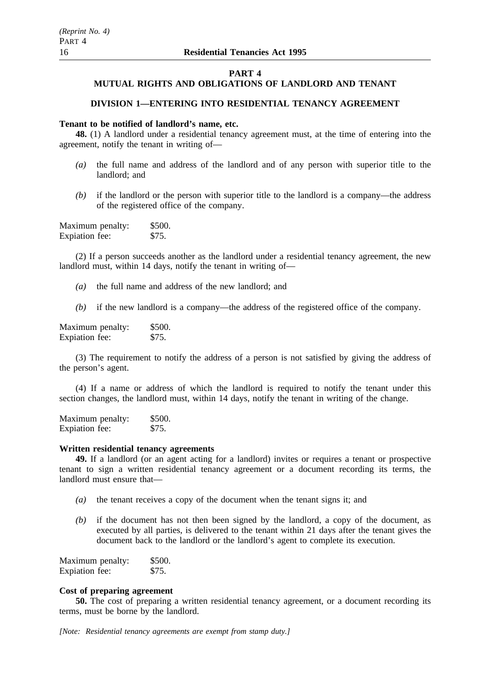### **PART 4**

# **MUTUAL RIGHTS AND OBLIGATIONS OF LANDLORD AND TENANT**

# **DIVISION 1—ENTERING INTO RESIDENTIAL TENANCY AGREEMENT**

# **Tenant to be notified of landlord's name, etc.**

**48.** (1) A landlord under a residential tenancy agreement must, at the time of entering into the agreement, notify the tenant in writing of—

- *(a)* the full name and address of the landlord and of any person with superior title to the landlord; and
- *(b)* if the landlord or the person with superior title to the landlord is a company—the address of the registered office of the company.

| Maximum penalty: | \$500. |
|------------------|--------|
| Expiation fee:   | \$75.  |

(2) If a person succeeds another as the landlord under a residential tenancy agreement, the new landlord must, within 14 days, notify the tenant in writing of—

- *(a)* the full name and address of the new landlord; and
- *(b)* if the new landlord is a company—the address of the registered office of the company.

Maximum penalty: \$500. Expiation fee: \$75.

(3) The requirement to notify the address of a person is not satisfied by giving the address of the person's agent.

(4) If a name or address of which the landlord is required to notify the tenant under this section changes, the landlord must, within 14 days, notify the tenant in writing of the change.

Maximum penalty: \$500.<br>Exploration fee: \$75. Expiation fee:

## **Written residential tenancy agreements**

**49.** If a landlord (or an agent acting for a landlord) invites or requires a tenant or prospective tenant to sign a written residential tenancy agreement or a document recording its terms, the landlord must ensure that—

- *(a)* the tenant receives a copy of the document when the tenant signs it; and
- *(b)* if the document has not then been signed by the landlord, a copy of the document, as executed by all parties, is delivered to the tenant within 21 days after the tenant gives the document back to the landlord or the landlord's agent to complete its execution.

| Maximum penalty: | \$500. |
|------------------|--------|
| Expiation fee:   | \$75.  |

## **Cost of preparing agreement**

**50.** The cost of preparing a written residential tenancy agreement, or a document recording its terms, must be borne by the landlord.

*[Note: Residential tenancy agreements are exempt from stamp duty.]*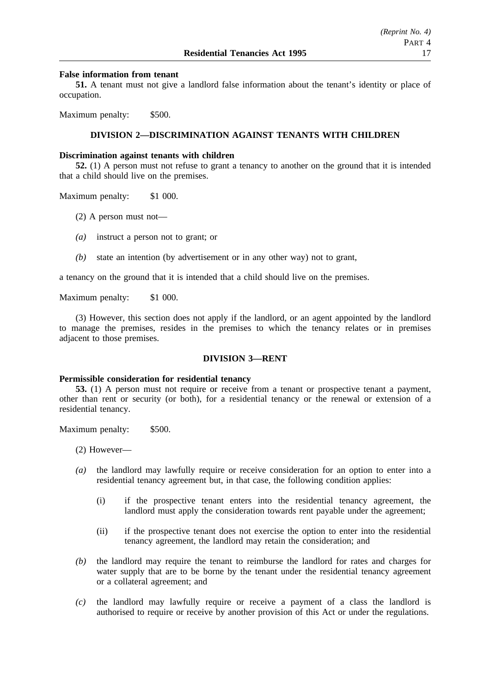## **False information from tenant**

**51.** A tenant must not give a landlord false information about the tenant's identity or place of occupation.

Maximum penalty: \$500.

# **DIVISION 2—DISCRIMINATION AGAINST TENANTS WITH CHILDREN**

### **Discrimination against tenants with children**

**52.** (1) A person must not refuse to grant a tenancy to another on the ground that it is intended that a child should live on the premises.

Maximum penalty: \$1 000.

- (2) A person must not—
- *(a)* instruct a person not to grant; or
- *(b)* state an intention (by advertisement or in any other way) not to grant,

a tenancy on the ground that it is intended that a child should live on the premises.

Maximum penalty: \$1 000.

(3) However, this section does not apply if the landlord, or an agent appointed by the landlord to manage the premises, resides in the premises to which the tenancy relates or in premises adjacent to those premises.

### **DIVISION 3—RENT**

### **Permissible consideration for residential tenancy**

**53.** (1) A person must not require or receive from a tenant or prospective tenant a payment, other than rent or security (or both), for a residential tenancy or the renewal or extension of a residential tenancy.

Maximum penalty: \$500.

(2) However—

- *(a)* the landlord may lawfully require or receive consideration for an option to enter into a residential tenancy agreement but, in that case, the following condition applies:
	- (i) if the prospective tenant enters into the residential tenancy agreement, the landlord must apply the consideration towards rent payable under the agreement;
	- (ii) if the prospective tenant does not exercise the option to enter into the residential tenancy agreement, the landlord may retain the consideration; and
- *(b)* the landlord may require the tenant to reimburse the landlord for rates and charges for water supply that are to be borne by the tenant under the residential tenancy agreement or a collateral agreement; and
- *(c)* the landlord may lawfully require or receive a payment of a class the landlord is authorised to require or receive by another provision of this Act or under the regulations.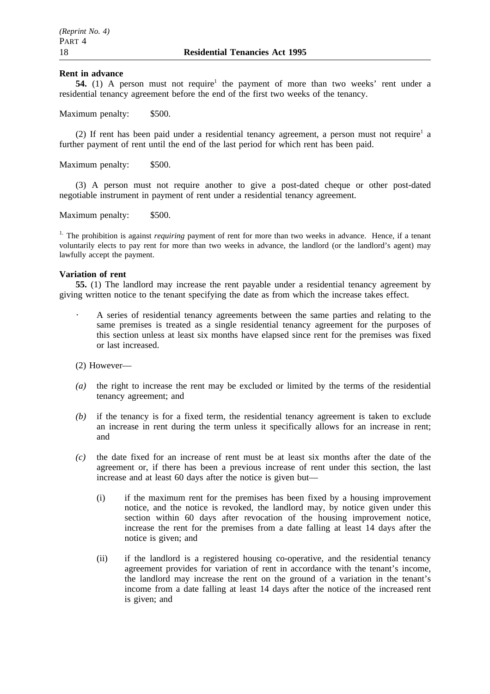### **Rent in advance**

**54.** (1) A person must not require<sup>1</sup> the payment of more than two weeks' rent under a residential tenancy agreement before the end of the first two weeks of the tenancy.

Maximum penalty: \$500.

(2) If rent has been paid under a residential tenancy agreement, a person must not require<sup>1</sup> a further payment of rent until the end of the last period for which rent has been paid.

Maximum penalty: \$500.

(3) A person must not require another to give a post-dated cheque or other post-dated negotiable instrument in payment of rent under a residential tenancy agreement.

Maximum penalty: \$500.

<sup>1.</sup> The prohibition is against *requiring* payment of rent for more than two weeks in advance. Hence, if a tenant voluntarily elects to pay rent for more than two weeks in advance, the landlord (or the landlord's agent) may lawfully accept the payment.

### **Variation of rent**

**55.** (1) The landlord may increase the rent payable under a residential tenancy agreement by giving written notice to the tenant specifying the date as from which the increase takes effect.

A series of residential tenancy agreements between the same parties and relating to the same premises is treated as a single residential tenancy agreement for the purposes of this section unless at least six months have elapsed since rent for the premises was fixed or last increased.

(2) However—

- *(a)* the right to increase the rent may be excluded or limited by the terms of the residential tenancy agreement; and
- *(b)* if the tenancy is for a fixed term, the residential tenancy agreement is taken to exclude an increase in rent during the term unless it specifically allows for an increase in rent; and
- *(c)* the date fixed for an increase of rent must be at least six months after the date of the agreement or, if there has been a previous increase of rent under this section, the last increase and at least 60 days after the notice is given but—
	- (i) if the maximum rent for the premises has been fixed by a housing improvement notice, and the notice is revoked, the landlord may, by notice given under this section within 60 days after revocation of the housing improvement notice, increase the rent for the premises from a date falling at least 14 days after the notice is given; and
	- (ii) if the landlord is a registered housing co-operative, and the residential tenancy agreement provides for variation of rent in accordance with the tenant's income, the landlord may increase the rent on the ground of a variation in the tenant's income from a date falling at least 14 days after the notice of the increased rent is given; and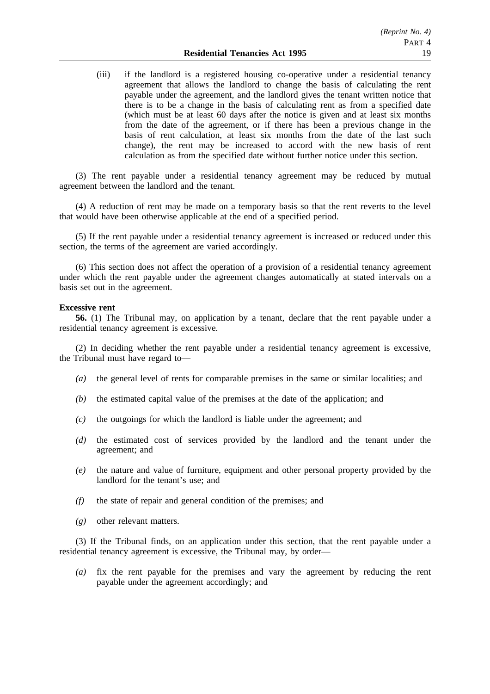(iii) if the landlord is a registered housing co-operative under a residential tenancy agreement that allows the landlord to change the basis of calculating the rent payable under the agreement, and the landlord gives the tenant written notice that there is to be a change in the basis of calculating rent as from a specified date (which must be at least 60 days after the notice is given and at least six months from the date of the agreement, or if there has been a previous change in the basis of rent calculation, at least six months from the date of the last such change), the rent may be increased to accord with the new basis of rent calculation as from the specified date without further notice under this section.

(3) The rent payable under a residential tenancy agreement may be reduced by mutual agreement between the landlord and the tenant.

(4) A reduction of rent may be made on a temporary basis so that the rent reverts to the level that would have been otherwise applicable at the end of a specified period.

(5) If the rent payable under a residential tenancy agreement is increased or reduced under this section, the terms of the agreement are varied accordingly.

(6) This section does not affect the operation of a provision of a residential tenancy agreement under which the rent payable under the agreement changes automatically at stated intervals on a basis set out in the agreement.

### **Excessive rent**

**56.** (1) The Tribunal may, on application by a tenant, declare that the rent payable under a residential tenancy agreement is excessive.

(2) In deciding whether the rent payable under a residential tenancy agreement is excessive, the Tribunal must have regard to—

- *(a)* the general level of rents for comparable premises in the same or similar localities; and
- *(b)* the estimated capital value of the premises at the date of the application; and
- *(c)* the outgoings for which the landlord is liable under the agreement; and
- *(d)* the estimated cost of services provided by the landlord and the tenant under the agreement; and
- *(e)* the nature and value of furniture, equipment and other personal property provided by the landlord for the tenant's use; and
- *(f)* the state of repair and general condition of the premises; and
- *(g)* other relevant matters.

(3) If the Tribunal finds, on an application under this section, that the rent payable under a residential tenancy agreement is excessive, the Tribunal may, by order—

*(a)* fix the rent payable for the premises and vary the agreement by reducing the rent payable under the agreement accordingly; and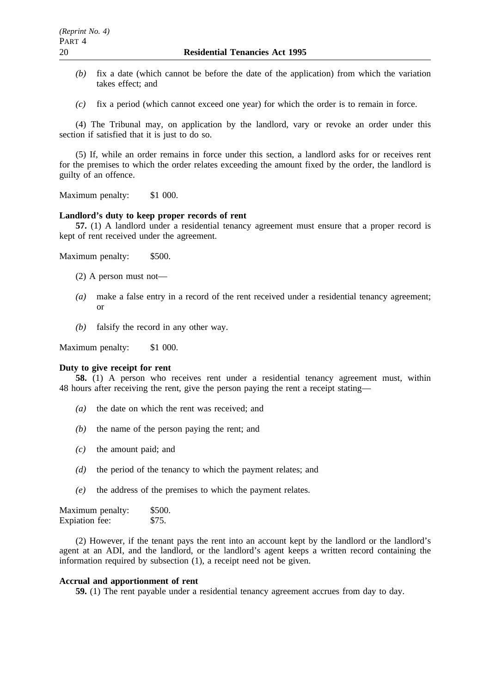- *(b)* fix a date (which cannot be before the date of the application) from which the variation takes effect; and
- *(c)* fix a period (which cannot exceed one year) for which the order is to remain in force.

(4) The Tribunal may, on application by the landlord, vary or revoke an order under this section if satisfied that it is just to do so.

(5) If, while an order remains in force under this section, a landlord asks for or receives rent for the premises to which the order relates exceeding the amount fixed by the order, the landlord is guilty of an offence.

Maximum penalty: \$1 000.

# **Landlord's duty to keep proper records of rent**

**57.** (1) A landlord under a residential tenancy agreement must ensure that a proper record is kept of rent received under the agreement.

Maximum penalty: \$500.

- (2) A person must not—
- *(a)* make a false entry in a record of the rent received under a residential tenancy agreement; or
- *(b)* falsify the record in any other way.

Maximum penalty: \$1 000.

### **Duty to give receipt for rent**

**58.** (1) A person who receives rent under a residential tenancy agreement must, within 48 hours after receiving the rent, give the person paying the rent a receipt stating—

- *(a)* the date on which the rent was received; and
- *(b)* the name of the person paying the rent; and
- *(c)* the amount paid; and
- *(d)* the period of the tenancy to which the payment relates; and
- *(e)* the address of the premises to which the payment relates.

Maximum penalty: \$500. Expiation fee: \$75.

(2) However, if the tenant pays the rent into an account kept by the landlord or the landlord's agent at an ADI, and the landlord, or the landlord's agent keeps a written record containing the information required by subsection (1), a receipt need not be given.

# **Accrual and apportionment of rent**

**59.** (1) The rent payable under a residential tenancy agreement accrues from day to day.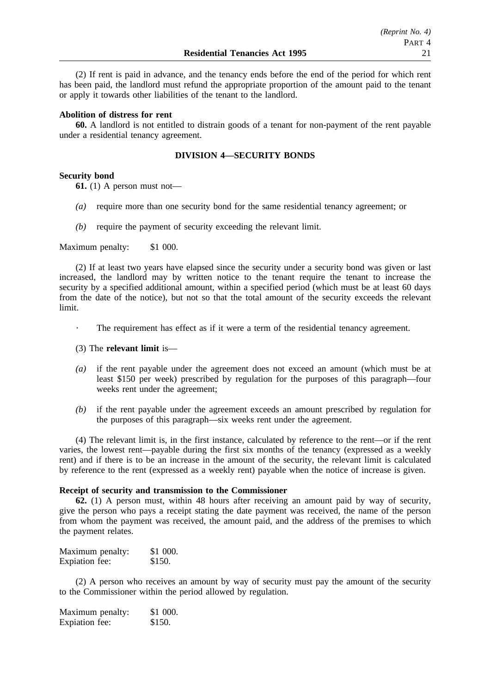(2) If rent is paid in advance, and the tenancy ends before the end of the period for which rent has been paid, the landlord must refund the appropriate proportion of the amount paid to the tenant or apply it towards other liabilities of the tenant to the landlord.

### **Abolition of distress for rent**

**60.** A landlord is not entitled to distrain goods of a tenant for non-payment of the rent payable under a residential tenancy agreement.

### **DIVISION 4—SECURITY BONDS**

### **Security bond**

**61.** (1) A person must not—

- *(a)* require more than one security bond for the same residential tenancy agreement; or
- *(b)* require the payment of security exceeding the relevant limit.

Maximum penalty: \$1 000.

(2) If at least two years have elapsed since the security under a security bond was given or last increased, the landlord may by written notice to the tenant require the tenant to increase the security by a specified additional amount, within a specified period (which must be at least 60 days from the date of the notice), but not so that the total amount of the security exceeds the relevant limit.

- The requirement has effect as if it were a term of the residential tenancy agreement.
- (3) The **relevant limit** is—
- *(a)* if the rent payable under the agreement does not exceed an amount (which must be at least \$150 per week) prescribed by regulation for the purposes of this paragraph—four weeks rent under the agreement;
- *(b)* if the rent payable under the agreement exceeds an amount prescribed by regulation for the purposes of this paragraph—six weeks rent under the agreement.

(4) The relevant limit is, in the first instance, calculated by reference to the rent—or if the rent varies, the lowest rent—payable during the first six months of the tenancy (expressed as a weekly rent) and if there is to be an increase in the amount of the security, the relevant limit is calculated by reference to the rent (expressed as a weekly rent) payable when the notice of increase is given.

## **Receipt of security and transmission to the Commissioner**

**62.** (1) A person must, within 48 hours after receiving an amount paid by way of security, give the person who pays a receipt stating the date payment was received, the name of the person from whom the payment was received, the amount paid, and the address of the premises to which the payment relates.

| Maximum penalty: | \$1 000. |
|------------------|----------|
| Expiation fee:   | \$150.   |

(2) A person who receives an amount by way of security must pay the amount of the security to the Commissioner within the period allowed by regulation.

| Maximum penalty: | \$1 000. |
|------------------|----------|
| Expiation fee:   | \$150.   |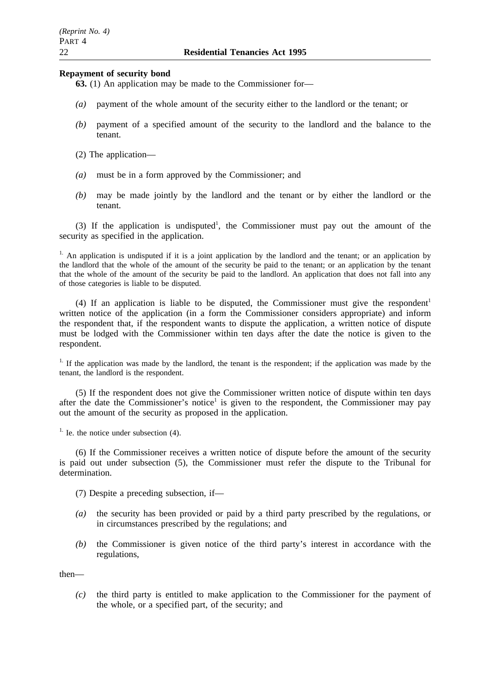### **Repayment of security bond**

- **63.** (1) An application may be made to the Commissioner for—
- *(a)* payment of the whole amount of the security either to the landlord or the tenant; or
- *(b)* payment of a specified amount of the security to the landlord and the balance to the tenant.
- (2) The application—
- *(a)* must be in a form approved by the Commissioner; and
- *(b)* may be made jointly by the landlord and the tenant or by either the landlord or the tenant.

(3) If the application is undisputed<sup>1</sup>, the Commissioner must pay out the amount of the security as specified in the application.

<sup>1.</sup> An application is undisputed if it is a joint application by the landlord and the tenant; or an application by the landlord that the whole of the amount of the security be paid to the tenant; or an application by the tenant that the whole of the amount of the security be paid to the landlord. An application that does not fall into any of those categories is liable to be disputed.

(4) If an application is liable to be disputed, the Commissioner must give the respondent<sup>1</sup> written notice of the application (in a form the Commissioner considers appropriate) and inform the respondent that, if the respondent wants to dispute the application, a written notice of dispute must be lodged with the Commissioner within ten days after the date the notice is given to the respondent.

<sup>1.</sup> If the application was made by the landlord, the tenant is the respondent; if the application was made by the tenant, the landlord is the respondent.

(5) If the respondent does not give the Commissioner written notice of dispute within ten days after the date the Commissioner's notice<sup>1</sup> is given to the respondent, the Commissioner may pay out the amount of the security as proposed in the application.

 $<sup>1</sup>$ . Ie. the notice under subsection (4).</sup>

(6) If the Commissioner receives a written notice of dispute before the amount of the security is paid out under subsection (5), the Commissioner must refer the dispute to the Tribunal for determination.

(7) Despite a preceding subsection, if—

- *(a)* the security has been provided or paid by a third party prescribed by the regulations, or in circumstances prescribed by the regulations; and
- *(b)* the Commissioner is given notice of the third party's interest in accordance with the regulations,

then—

*(c)* the third party is entitled to make application to the Commissioner for the payment of the whole, or a specified part, of the security; and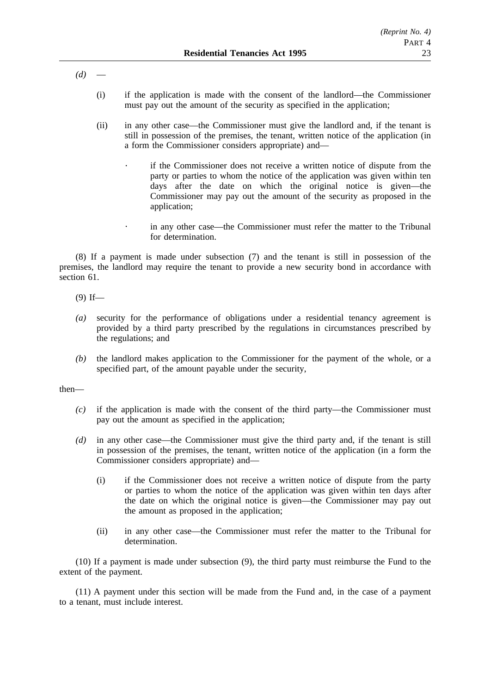*(d)* —

- (i) if the application is made with the consent of the landlord—the Commissioner must pay out the amount of the security as specified in the application;
- (ii) in any other case—the Commissioner must give the landlord and, if the tenant is still in possession of the premises, the tenant, written notice of the application (in a form the Commissioner considers appropriate) and
	- if the Commissioner does not receive a written notice of dispute from the party or parties to whom the notice of the application was given within ten days after the date on which the original notice is given—the Commissioner may pay out the amount of the security as proposed in the application;
	- in any other case—the Commissioner must refer the matter to the Tribunal for determination.

(8) If a payment is made under subsection (7) and the tenant is still in possession of the premises, the landlord may require the tenant to provide a new security bond in accordance with section 61.

- $(9)$  If—
- *(a)* security for the performance of obligations under a residential tenancy agreement is provided by a third party prescribed by the regulations in circumstances prescribed by the regulations; and
- *(b)* the landlord makes application to the Commissioner for the payment of the whole, or a specified part, of the amount payable under the security,

then—

- *(c)* if the application is made with the consent of the third party—the Commissioner must pay out the amount as specified in the application;
- *(d)* in any other case—the Commissioner must give the third party and, if the tenant is still in possession of the premises, the tenant, written notice of the application (in a form the Commissioner considers appropriate) and—
	- (i) if the Commissioner does not receive a written notice of dispute from the party or parties to whom the notice of the application was given within ten days after the date on which the original notice is given—the Commissioner may pay out the amount as proposed in the application;
	- (ii) in any other case—the Commissioner must refer the matter to the Tribunal for determination.

(10) If a payment is made under subsection (9), the third party must reimburse the Fund to the extent of the payment.

(11) A payment under this section will be made from the Fund and, in the case of a payment to a tenant, must include interest.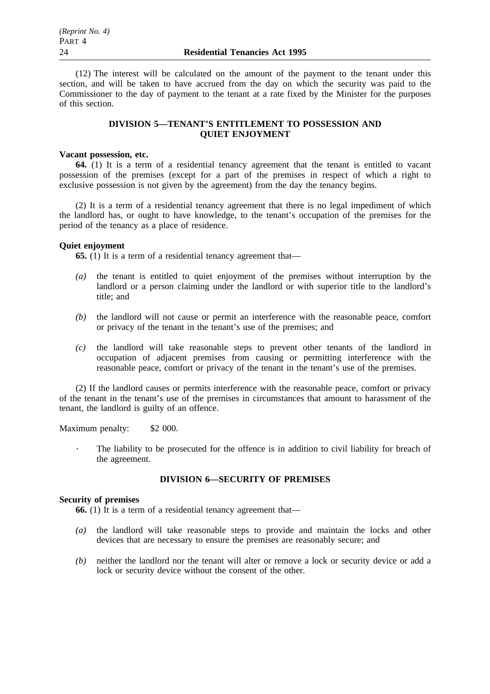(12) The interest will be calculated on the amount of the payment to the tenant under this section, and will be taken to have accrued from the day on which the security was paid to the Commissioner to the day of payment to the tenant at a rate fixed by the Minister for the purposes of this section.

# **DIVISION 5—TENANT'S ENTITLEMENT TO POSSESSION AND QUIET ENJOYMENT**

## **Vacant possession, etc.**

**64.** (1) It is a term of a residential tenancy agreement that the tenant is entitled to vacant possession of the premises (except for a part of the premises in respect of which a right to exclusive possession is not given by the agreement) from the day the tenancy begins.

(2) It is a term of a residential tenancy agreement that there is no legal impediment of which the landlord has, or ought to have knowledge, to the tenant's occupation of the premises for the period of the tenancy as a place of residence.

### **Quiet enjoyment**

**65.** (1) It is a term of a residential tenancy agreement that—

- *(a)* the tenant is entitled to quiet enjoyment of the premises without interruption by the landlord or a person claiming under the landlord or with superior title to the landlord's title; and
- *(b)* the landlord will not cause or permit an interference with the reasonable peace, comfort or privacy of the tenant in the tenant's use of the premises; and
- *(c)* the landlord will take reasonable steps to prevent other tenants of the landlord in occupation of adjacent premises from causing or permitting interference with the reasonable peace, comfort or privacy of the tenant in the tenant's use of the premises.

(2) If the landlord causes or permits interference with the reasonable peace, comfort or privacy of the tenant in the tenant's use of the premises in circumstances that amount to harassment of the tenant, the landlord is guilty of an offence.

Maximum penalty: \$2 000.

The liability to be prosecuted for the offence is in addition to civil liability for breach of the agreement.

## **DIVISION 6—SECURITY OF PREMISES**

## **Security of premises**

**66.** (1) It is a term of a residential tenancy agreement that—

- *(a)* the landlord will take reasonable steps to provide and maintain the locks and other devices that are necessary to ensure the premises are reasonably secure; and
- *(b)* neither the landlord nor the tenant will alter or remove a lock or security device or add a lock or security device without the consent of the other.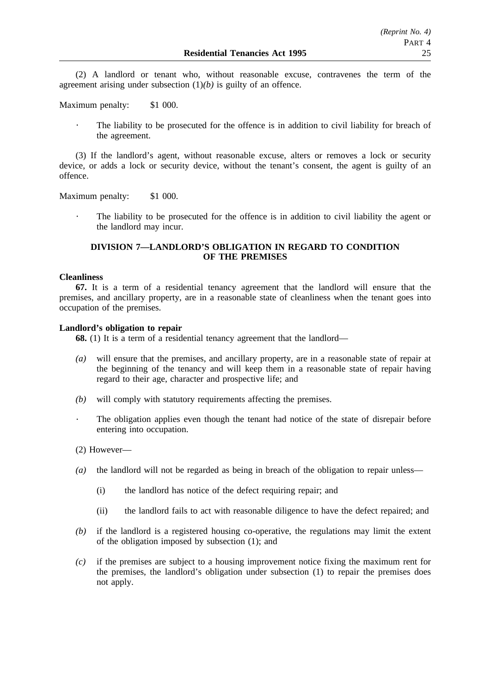(2) A landlord or tenant who, without reasonable excuse, contravenes the term of the agreement arising under subsection (1)*(b)* is guilty of an offence.

Maximum penalty: \$1 000.

The liability to be prosecuted for the offence is in addition to civil liability for breach of the agreement.

(3) If the landlord's agent, without reasonable excuse, alters or removes a lock or security device, or adds a lock or security device, without the tenant's consent, the agent is guilty of an offence.

Maximum penalty: \$1 000.

The liability to be prosecuted for the offence is in addition to civil liability the agent or the landlord may incur.

# **DIVISION 7—LANDLORD'S OBLIGATION IN REGARD TO CONDITION OF THE PREMISES**

### **Cleanliness**

**67.** It is a term of a residential tenancy agreement that the landlord will ensure that the premises, and ancillary property, are in a reasonable state of cleanliness when the tenant goes into occupation of the premises.

## **Landlord's obligation to repair**

**68.** (1) It is a term of a residential tenancy agreement that the landlord—

- *(a)* will ensure that the premises, and ancillary property, are in a reasonable state of repair at the beginning of the tenancy and will keep them in a reasonable state of repair having regard to their age, character and prospective life; and
- *(b)* will comply with statutory requirements affecting the premises.
- The obligation applies even though the tenant had notice of the state of disrepair before entering into occupation.
- (2) However—
- *(a)* the landlord will not be regarded as being in breach of the obligation to repair unless—
	- (i) the landlord has notice of the defect requiring repair; and
	- (ii) the landlord fails to act with reasonable diligence to have the defect repaired; and
- *(b)* if the landlord is a registered housing co-operative, the regulations may limit the extent of the obligation imposed by subsection (1); and
- *(c)* if the premises are subject to a housing improvement notice fixing the maximum rent for the premises, the landlord's obligation under subsection (1) to repair the premises does not apply.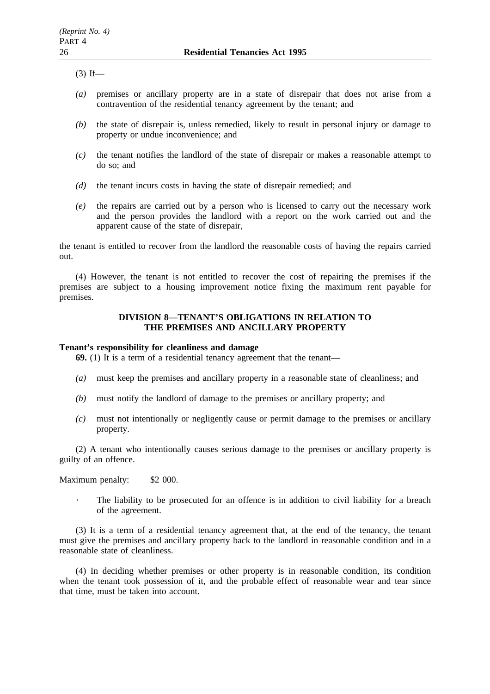$(3)$  If—

- *(a)* premises or ancillary property are in a state of disrepair that does not arise from a contravention of the residential tenancy agreement by the tenant; and
- *(b)* the state of disrepair is, unless remedied, likely to result in personal injury or damage to property or undue inconvenience; and
- *(c)* the tenant notifies the landlord of the state of disrepair or makes a reasonable attempt to do so; and
- *(d)* the tenant incurs costs in having the state of disrepair remedied; and
- *(e)* the repairs are carried out by a person who is licensed to carry out the necessary work and the person provides the landlord with a report on the work carried out and the apparent cause of the state of disrepair,

the tenant is entitled to recover from the landlord the reasonable costs of having the repairs carried out.

(4) However, the tenant is not entitled to recover the cost of repairing the premises if the premises are subject to a housing improvement notice fixing the maximum rent payable for premises.

# **DIVISION 8—TENANT'S OBLIGATIONS IN RELATION TO THE PREMISES AND ANCILLARY PROPERTY**

# **Tenant's responsibility for cleanliness and damage**

**69.** (1) It is a term of a residential tenancy agreement that the tenant—

- *(a)* must keep the premises and ancillary property in a reasonable state of cleanliness; and
- *(b)* must notify the landlord of damage to the premises or ancillary property; and
- *(c)* must not intentionally or negligently cause or permit damage to the premises or ancillary property.

(2) A tenant who intentionally causes serious damage to the premises or ancillary property is guilty of an offence.

Maximum penalty: \$2 000.

The liability to be prosecuted for an offence is in addition to civil liability for a breach of the agreement.

(3) It is a term of a residential tenancy agreement that, at the end of the tenancy, the tenant must give the premises and ancillary property back to the landlord in reasonable condition and in a reasonable state of cleanliness.

(4) In deciding whether premises or other property is in reasonable condition, its condition when the tenant took possession of it, and the probable effect of reasonable wear and tear since that time, must be taken into account.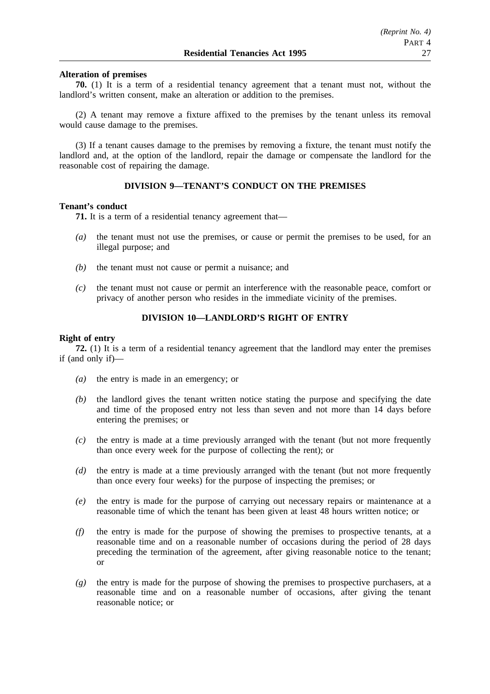## **Alteration of premises**

**70.** (1) It is a term of a residential tenancy agreement that a tenant must not, without the landlord's written consent, make an alteration or addition to the premises.

(2) A tenant may remove a fixture affixed to the premises by the tenant unless its removal would cause damage to the premises.

(3) If a tenant causes damage to the premises by removing a fixture, the tenant must notify the landlord and, at the option of the landlord, repair the damage or compensate the landlord for the reasonable cost of repairing the damage.

# **DIVISION 9—TENANT'S CONDUCT ON THE PREMISES**

### **Tenant's conduct**

**71.** It is a term of a residential tenancy agreement that—

- *(a)* the tenant must not use the premises, or cause or permit the premises to be used, for an illegal purpose; and
- *(b)* the tenant must not cause or permit a nuisance; and
- *(c)* the tenant must not cause or permit an interference with the reasonable peace, comfort or privacy of another person who resides in the immediate vicinity of the premises.

# **DIVISION 10—LANDLORD'S RIGHT OF ENTRY**

## **Right of entry**

**72.** (1) It is a term of a residential tenancy agreement that the landlord may enter the premises if (and only if)—

- *(a)* the entry is made in an emergency; or
- *(b)* the landlord gives the tenant written notice stating the purpose and specifying the date and time of the proposed entry not less than seven and not more than 14 days before entering the premises; or
- *(c)* the entry is made at a time previously arranged with the tenant (but not more frequently than once every week for the purpose of collecting the rent); or
- *(d)* the entry is made at a time previously arranged with the tenant (but not more frequently than once every four weeks) for the purpose of inspecting the premises; or
- *(e)* the entry is made for the purpose of carrying out necessary repairs or maintenance at a reasonable time of which the tenant has been given at least 48 hours written notice; or
- *(f)* the entry is made for the purpose of showing the premises to prospective tenants, at a reasonable time and on a reasonable number of occasions during the period of 28 days preceding the termination of the agreement, after giving reasonable notice to the tenant; or
- *(g)* the entry is made for the purpose of showing the premises to prospective purchasers, at a reasonable time and on a reasonable number of occasions, after giving the tenant reasonable notice; or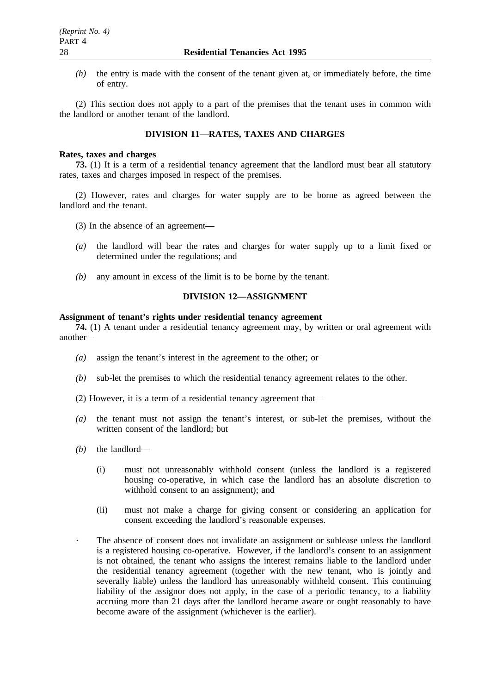*(h)* the entry is made with the consent of the tenant given at, or immediately before, the time of entry.

(2) This section does not apply to a part of the premises that the tenant uses in common with the landlord or another tenant of the landlord.

# **DIVISION 11—RATES, TAXES AND CHARGES**

### **Rates, taxes and charges**

**73.** (1) It is a term of a residential tenancy agreement that the landlord must bear all statutory rates, taxes and charges imposed in respect of the premises.

(2) However, rates and charges for water supply are to be borne as agreed between the landlord and the tenant.

- (3) In the absence of an agreement—
- *(a)* the landlord will bear the rates and charges for water supply up to a limit fixed or determined under the regulations; and
- *(b)* any amount in excess of the limit is to be borne by the tenant.

# **DIVISION 12—ASSIGNMENT**

### **Assignment of tenant's rights under residential tenancy agreement**

**74.** (1) A tenant under a residential tenancy agreement may, by written or oral agreement with another—

- *(a)* assign the tenant's interest in the agreement to the other; or
- *(b)* sub-let the premises to which the residential tenancy agreement relates to the other.
- (2) However, it is a term of a residential tenancy agreement that—
- *(a)* the tenant must not assign the tenant's interest, or sub-let the premises, without the written consent of the landlord; but
- *(b)* the landlord—
	- (i) must not unreasonably withhold consent (unless the landlord is a registered housing co-operative, in which case the landlord has an absolute discretion to withhold consent to an assignment); and
	- (ii) must not make a charge for giving consent or considering an application for consent exceeding the landlord's reasonable expenses.
	- The absence of consent does not invalidate an assignment or sublease unless the landlord is a registered housing co-operative. However, if the landlord's consent to an assignment is not obtained, the tenant who assigns the interest remains liable to the landlord under the residential tenancy agreement (together with the new tenant, who is jointly and severally liable) unless the landlord has unreasonably withheld consent. This continuing liability of the assignor does not apply, in the case of a periodic tenancy, to a liability accruing more than 21 days after the landlord became aware or ought reasonably to have become aware of the assignment (whichever is the earlier).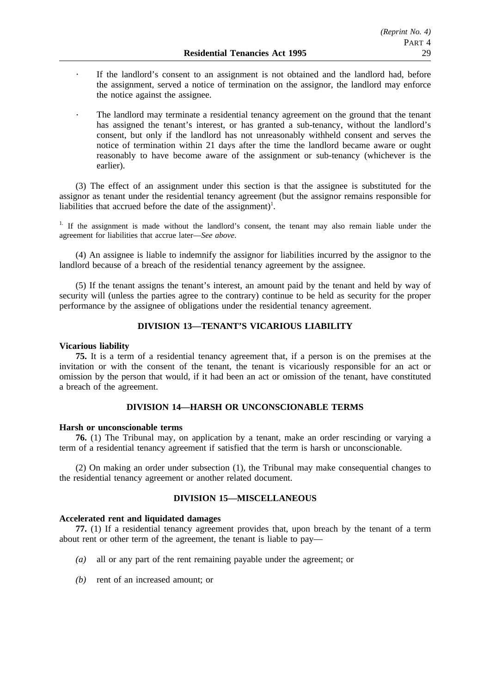- If the landlord's consent to an assignment is not obtained and the landlord had, before the assignment, served a notice of termination on the assignor, the landlord may enforce the notice against the assignee.
- The landlord may terminate a residential tenancy agreement on the ground that the tenant has assigned the tenant's interest, or has granted a sub-tenancy, without the landlord's consent, but only if the landlord has not unreasonably withheld consent and serves the notice of termination within 21 days after the time the landlord became aware or ought reasonably to have become aware of the assignment or sub-tenancy (whichever is the earlier).

(3) The effect of an assignment under this section is that the assignee is substituted for the assignor as tenant under the residential tenancy agreement (but the assignor remains responsible for liabilities that accrued before the date of the assignment)<sup>1</sup>.

<sup>1.</sup> If the assignment is made without the landlord's consent, the tenant may also remain liable under the agreement for liabilities that accrue later—*See above*.

(4) An assignee is liable to indemnify the assignor for liabilities incurred by the assignor to the landlord because of a breach of the residential tenancy agreement by the assignee.

(5) If the tenant assigns the tenant's interest, an amount paid by the tenant and held by way of security will (unless the parties agree to the contrary) continue to be held as security for the proper performance by the assignee of obligations under the residential tenancy agreement.

# **DIVISION 13—TENANT'S VICARIOUS LIABILITY**

### **Vicarious liability**

**75.** It is a term of a residential tenancy agreement that, if a person is on the premises at the invitation or with the consent of the tenant, the tenant is vicariously responsible for an act or omission by the person that would, if it had been an act or omission of the tenant, have constituted a breach of the agreement.

## **DIVISION 14—HARSH OR UNCONSCIONABLE TERMS**

### **Harsh or unconscionable terms**

**76.** (1) The Tribunal may, on application by a tenant, make an order rescinding or varying a term of a residential tenancy agreement if satisfied that the term is harsh or unconscionable.

(2) On making an order under subsection (1), the Tribunal may make consequential changes to the residential tenancy agreement or another related document.

## **DIVISION 15—MISCELLANEOUS**

# **Accelerated rent and liquidated damages**

**77.** (1) If a residential tenancy agreement provides that, upon breach by the tenant of a term about rent or other term of the agreement, the tenant is liable to pay—

- *(a)* all or any part of the rent remaining payable under the agreement; or
- *(b)* rent of an increased amount; or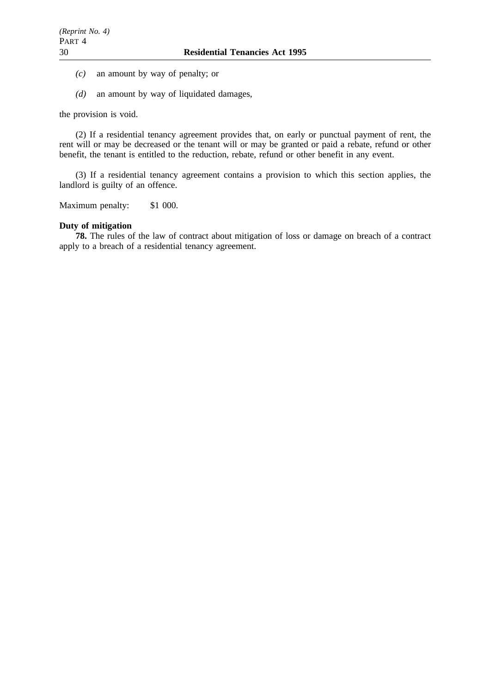- *(c)* an amount by way of penalty; or
- *(d)* an amount by way of liquidated damages,

the provision is void.

(2) If a residential tenancy agreement provides that, on early or punctual payment of rent, the rent will or may be decreased or the tenant will or may be granted or paid a rebate, refund or other benefit, the tenant is entitled to the reduction, rebate, refund or other benefit in any event.

(3) If a residential tenancy agreement contains a provision to which this section applies, the landlord is guilty of an offence.

Maximum penalty: \$1 000.

## **Duty of mitigation**

**78.** The rules of the law of contract about mitigation of loss or damage on breach of a contract apply to a breach of a residential tenancy agreement.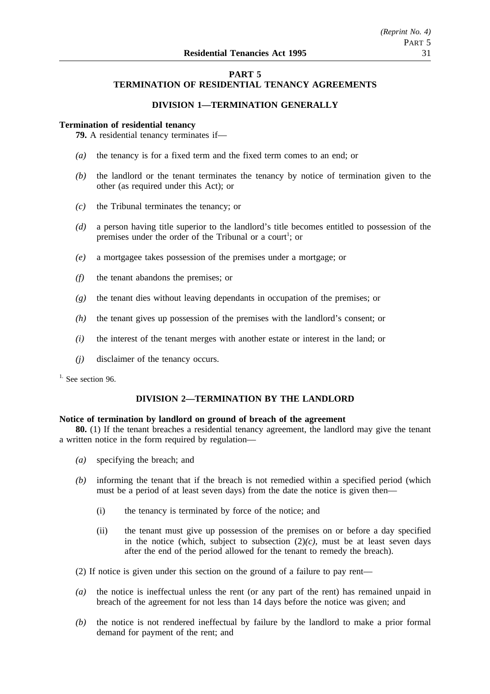# **PART 5 TERMINATION OF RESIDENTIAL TENANCY AGREEMENTS**

# **DIVISION 1—TERMINATION GENERALLY**

## **Termination of residential tenancy**

**79.** A residential tenancy terminates if—

- *(a)* the tenancy is for a fixed term and the fixed term comes to an end; or
- *(b)* the landlord or the tenant terminates the tenancy by notice of termination given to the other (as required under this Act); or
- *(c)* the Tribunal terminates the tenancy; or
- *(d)* a person having title superior to the landlord's title becomes entitled to possession of the premises under the order of the Tribunal or a court<sup>1</sup>; or
- *(e)* a mortgagee takes possession of the premises under a mortgage; or
- *(f)* the tenant abandons the premises; or
- *(g)* the tenant dies without leaving dependants in occupation of the premises; or
- *(h)* the tenant gives up possession of the premises with the landlord's consent; or
- *(i)* the interest of the tenant merges with another estate or interest in the land; or
- *(j)* disclaimer of the tenancy occurs.

<sup>1.</sup> See section 96.

# **DIVISION 2—TERMINATION BY THE LANDLORD**

## **Notice of termination by landlord on ground of breach of the agreement**

**80.** (1) If the tenant breaches a residential tenancy agreement, the landlord may give the tenant a written notice in the form required by regulation—

- *(a)* specifying the breach; and
- *(b)* informing the tenant that if the breach is not remedied within a specified period (which must be a period of at least seven days) from the date the notice is given then—
	- (i) the tenancy is terminated by force of the notice; and
	- (ii) the tenant must give up possession of the premises on or before a day specified in the notice (which, subject to subsection  $(2)(c)$ , must be at least seven days after the end of the period allowed for the tenant to remedy the breach).
- (2) If notice is given under this section on the ground of a failure to pay rent—
- *(a)* the notice is ineffectual unless the rent (or any part of the rent) has remained unpaid in breach of the agreement for not less than 14 days before the notice was given; and
- *(b)* the notice is not rendered ineffectual by failure by the landlord to make a prior formal demand for payment of the rent; and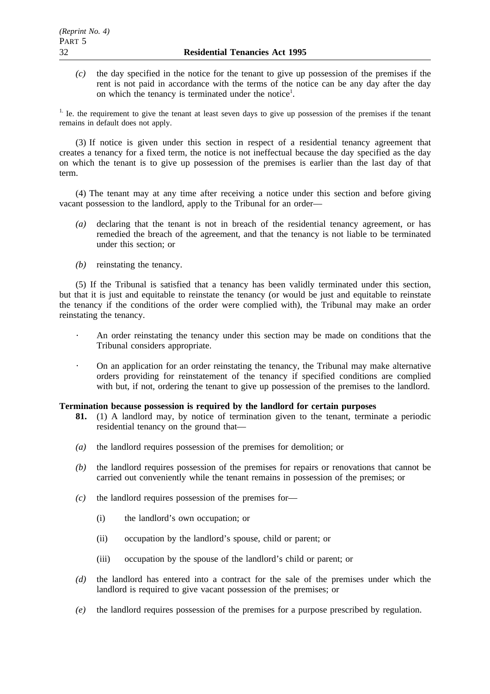*(c)* the day specified in the notice for the tenant to give up possession of the premises if the rent is not paid in accordance with the terms of the notice can be any day after the day on which the tenancy is terminated under the notice<sup>1</sup>.

<sup>1.</sup> Ie. the requirement to give the tenant at least seven days to give up possession of the premises if the tenant remains in default does not apply.

(3) If notice is given under this section in respect of a residential tenancy agreement that creates a tenancy for a fixed term, the notice is not ineffectual because the day specified as the day on which the tenant is to give up possession of the premises is earlier than the last day of that term.

(4) The tenant may at any time after receiving a notice under this section and before giving vacant possession to the landlord, apply to the Tribunal for an order—

- *(a)* declaring that the tenant is not in breach of the residential tenancy agreement, or has remedied the breach of the agreement, and that the tenancy is not liable to be terminated under this section; or
- *(b)* reinstating the tenancy.

(5) If the Tribunal is satisfied that a tenancy has been validly terminated under this section, but that it is just and equitable to reinstate the tenancy (or would be just and equitable to reinstate the tenancy if the conditions of the order were complied with), the Tribunal may make an order reinstating the tenancy.

- An order reinstating the tenancy under this section may be made on conditions that the Tribunal considers appropriate.
- On an application for an order reinstating the tenancy, the Tribunal may make alternative  $\mathcal{L}$ orders providing for reinstatement of the tenancy if specified conditions are complied with but, if not, ordering the tenant to give up possession of the premises to the landlord.

# **Termination because possession is required by the landlord for certain purposes**

- **81.** (1) A landlord may, by notice of termination given to the tenant, terminate a periodic residential tenancy on the ground that—
- *(a)* the landlord requires possession of the premises for demolition; or
- *(b)* the landlord requires possession of the premises for repairs or renovations that cannot be carried out conveniently while the tenant remains in possession of the premises; or
- *(c)* the landlord requires possession of the premises for—
	- (i) the landlord's own occupation; or
	- (ii) occupation by the landlord's spouse, child or parent; or
	- (iii) occupation by the spouse of the landlord's child or parent; or
- *(d)* the landlord has entered into a contract for the sale of the premises under which the landlord is required to give vacant possession of the premises; or
- *(e)* the landlord requires possession of the premises for a purpose prescribed by regulation.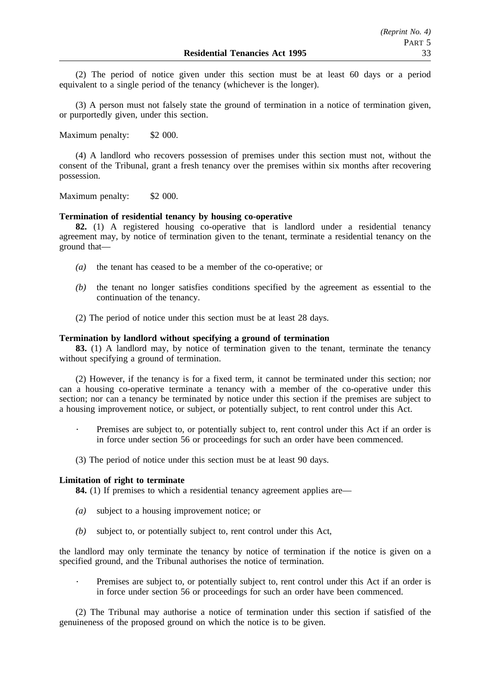(2) The period of notice given under this section must be at least 60 days or a period equivalent to a single period of the tenancy (whichever is the longer).

(3) A person must not falsely state the ground of termination in a notice of termination given, or purportedly given, under this section.

Maximum penalty: \$2 000.

(4) A landlord who recovers possession of premises under this section must not, without the consent of the Tribunal, grant a fresh tenancy over the premises within six months after recovering possession.

Maximum penalty: \$2 000.

# **Termination of residential tenancy by housing co-operative**

**82.** (1) A registered housing co-operative that is landlord under a residential tenancy agreement may, by notice of termination given to the tenant, terminate a residential tenancy on the ground that—

- *(a)* the tenant has ceased to be a member of the co-operative; or
- *(b)* the tenant no longer satisfies conditions specified by the agreement as essential to the continuation of the tenancy.
- (2) The period of notice under this section must be at least 28 days.

## **Termination by landlord without specifying a ground of termination**

**83.** (1) A landlord may, by notice of termination given to the tenant, terminate the tenancy without specifying a ground of termination.

(2) However, if the tenancy is for a fixed term, it cannot be terminated under this section; nor can a housing co-operative terminate a tenancy with a member of the co-operative under this section; nor can a tenancy be terminated by notice under this section if the premises are subject to a housing improvement notice, or subject, or potentially subject, to rent control under this Act.

- Premises are subject to, or potentially subject to, rent control under this Act if an order is in force under section 56 or proceedings for such an order have been commenced.
- (3) The period of notice under this section must be at least 90 days.

### **Limitation of right to terminate**

**84.** (1) If premises to which a residential tenancy agreement applies are—

- *(a)* subject to a housing improvement notice; or
- *(b)* subject to, or potentially subject to, rent control under this Act,

the landlord may only terminate the tenancy by notice of termination if the notice is given on a specified ground, and the Tribunal authorises the notice of termination.

Premises are subject to, or potentially subject to, rent control under this Act if an order is in force under section 56 or proceedings for such an order have been commenced.

(2) The Tribunal may authorise a notice of termination under this section if satisfied of the genuineness of the proposed ground on which the notice is to be given.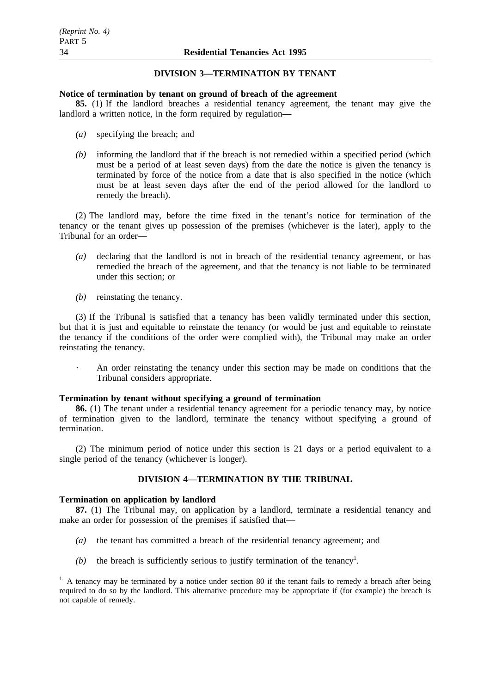## **DIVISION 3—TERMINATION BY TENANT**

### **Notice of termination by tenant on ground of breach of the agreement**

**85.** (1) If the landlord breaches a residential tenancy agreement, the tenant may give the landlord a written notice, in the form required by regulation—

- *(a)* specifying the breach; and
- *(b)* informing the landlord that if the breach is not remedied within a specified period (which must be a period of at least seven days) from the date the notice is given the tenancy is terminated by force of the notice from a date that is also specified in the notice (which must be at least seven days after the end of the period allowed for the landlord to remedy the breach).

(2) The landlord may, before the time fixed in the tenant's notice for termination of the tenancy or the tenant gives up possession of the premises (whichever is the later), apply to the Tribunal for an order—

- *(a)* declaring that the landlord is not in breach of the residential tenancy agreement, or has remedied the breach of the agreement, and that the tenancy is not liable to be terminated under this section; or
- *(b)* reinstating the tenancy.

(3) If the Tribunal is satisfied that a tenancy has been validly terminated under this section, but that it is just and equitable to reinstate the tenancy (or would be just and equitable to reinstate the tenancy if the conditions of the order were complied with), the Tribunal may make an order reinstating the tenancy.

An order reinstating the tenancy under this section may be made on conditions that the Tribunal considers appropriate.

## **Termination by tenant without specifying a ground of termination**

**86.** (1) The tenant under a residential tenancy agreement for a periodic tenancy may, by notice of termination given to the landlord, terminate the tenancy without specifying a ground of termination.

(2) The minimum period of notice under this section is 21 days or a period equivalent to a single period of the tenancy (whichever is longer).

# **DIVISION 4—TERMINATION BY THE TRIBUNAL**

### **Termination on application by landlord**

**87.** (1) The Tribunal may, on application by a landlord, terminate a residential tenancy and make an order for possession of the premises if satisfied that—

- *(a)* the tenant has committed a breach of the residential tenancy agreement; and
- $(b)$  the breach is sufficiently serious to justify termination of the tenancy<sup>1</sup>.

 $<sup>1</sup>$ . A tenancy may be terminated by a notice under section 80 if the tenant fails to remedy a breach after being</sup> required to do so by the landlord. This alternative procedure may be appropriate if (for example) the breach is not capable of remedy.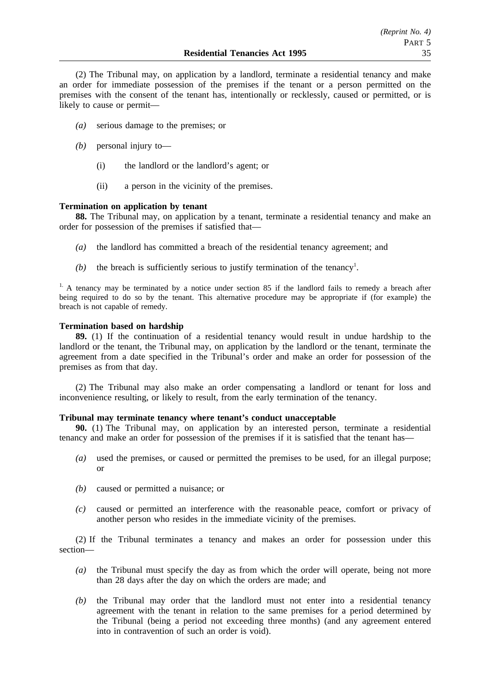(2) The Tribunal may, on application by a landlord, terminate a residential tenancy and make an order for immediate possession of the premises if the tenant or a person permitted on the premises with the consent of the tenant has, intentionally or recklessly, caused or permitted, or is likely to cause or permit—

- *(a)* serious damage to the premises; or
- *(b)* personal injury to—
	- (i) the landlord or the landlord's agent; or
	- (ii) a person in the vicinity of the premises.

## **Termination on application by tenant**

**88.** The Tribunal may, on application by a tenant, terminate a residential tenancy and make an order for possession of the premises if satisfied that—

- *(a)* the landlord has committed a breach of the residential tenancy agreement; and
- $(b)$  the breach is sufficiently serious to justify termination of the tenancy<sup>1</sup>.

<sup>1.</sup> A tenancy may be terminated by a notice under section 85 if the landlord fails to remedy a breach after being required to do so by the tenant. This alternative procedure may be appropriate if (for example) the breach is not capable of remedy.

## **Termination based on hardship**

**89.** (1) If the continuation of a residential tenancy would result in undue hardship to the landlord or the tenant, the Tribunal may, on application by the landlord or the tenant, terminate the agreement from a date specified in the Tribunal's order and make an order for possession of the premises as from that day.

(2) The Tribunal may also make an order compensating a landlord or tenant for loss and inconvenience resulting, or likely to result, from the early termination of the tenancy.

## **Tribunal may terminate tenancy where tenant's conduct unacceptable**

**90.** (1) The Tribunal may, on application by an interested person, terminate a residential tenancy and make an order for possession of the premises if it is satisfied that the tenant has—

- *(a)* used the premises, or caused or permitted the premises to be used, for an illegal purpose; or
- *(b)* caused or permitted a nuisance; or
- *(c)* caused or permitted an interference with the reasonable peace, comfort or privacy of another person who resides in the immediate vicinity of the premises.

(2) If the Tribunal terminates a tenancy and makes an order for possession under this section—

- *(a)* the Tribunal must specify the day as from which the order will operate, being not more than 28 days after the day on which the orders are made; and
- *(b)* the Tribunal may order that the landlord must not enter into a residential tenancy agreement with the tenant in relation to the same premises for a period determined by the Tribunal (being a period not exceeding three months) (and any agreement entered into in contravention of such an order is void).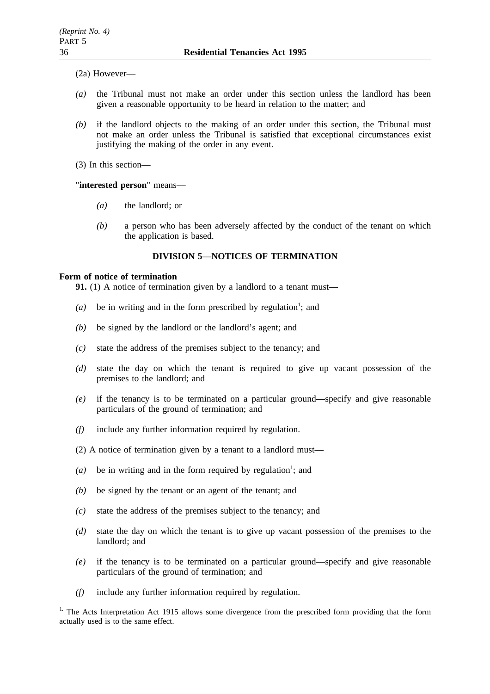(2a) However—

- *(a)* the Tribunal must not make an order under this section unless the landlord has been given a reasonable opportunity to be heard in relation to the matter; and
- *(b)* if the landlord objects to the making of an order under this section, the Tribunal must not make an order unless the Tribunal is satisfied that exceptional circumstances exist justifying the making of the order in any event.

(3) In this section—

"**interested person**" means—

- *(a)* the landlord; or
- *(b)* a person who has been adversely affected by the conduct of the tenant on which the application is based.

# **DIVISION 5—NOTICES OF TERMINATION**

## **Form of notice of termination**

**91.** (1) A notice of termination given by a landlord to a tenant must—

- $(a)$  be in writing and in the form prescribed by regulation<sup>1</sup>; and
- *(b)* be signed by the landlord or the landlord's agent; and
- *(c)* state the address of the premises subject to the tenancy; and
- *(d)* state the day on which the tenant is required to give up vacant possession of the premises to the landlord; and
- *(e)* if the tenancy is to be terminated on a particular ground—specify and give reasonable particulars of the ground of termination; and
- *(f)* include any further information required by regulation.
- (2) A notice of termination given by a tenant to a landlord must—
- (a) be in writing and in the form required by regulation<sup>1</sup>; and
- *(b)* be signed by the tenant or an agent of the tenant; and
- *(c)* state the address of the premises subject to the tenancy; and
- *(d)* state the day on which the tenant is to give up vacant possession of the premises to the landlord; and
- *(e)* if the tenancy is to be terminated on a particular ground—specify and give reasonable particulars of the ground of termination; and
- *(f)* include any further information required by regulation.

<sup>1.</sup> The Acts Interpretation Act 1915 allows some divergence from the prescribed form providing that the form actually used is to the same effect.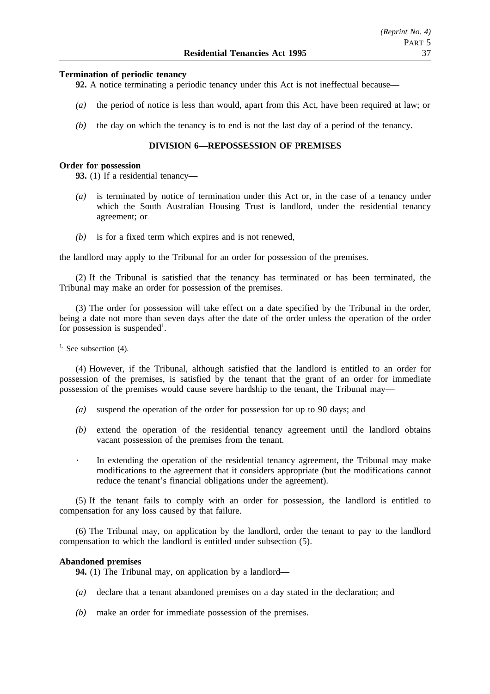## **Termination of periodic tenancy**

**92.** A notice terminating a periodic tenancy under this Act is not ineffectual because—

- *(a)* the period of notice is less than would, apart from this Act, have been required at law; or
- *(b)* the day on which the tenancy is to end is not the last day of a period of the tenancy.

## **DIVISION 6—REPOSSESSION OF PREMISES**

### **Order for possession**

**93.** (1) If a residential tenancy—

- *(a)* is terminated by notice of termination under this Act or, in the case of a tenancy under which the South Australian Housing Trust is landlord, under the residential tenancy agreement; or
- *(b)* is for a fixed term which expires and is not renewed,

the landlord may apply to the Tribunal for an order for possession of the premises.

(2) If the Tribunal is satisfied that the tenancy has terminated or has been terminated, the Tribunal may make an order for possession of the premises.

(3) The order for possession will take effect on a date specified by the Tribunal in the order, being a date not more than seven days after the date of the order unless the operation of the order for possession is suspended<sup>1</sup>.

<sup>1.</sup> See subsection  $(4)$ .

(4) However, if the Tribunal, although satisfied that the landlord is entitled to an order for possession of the premises, is satisfied by the tenant that the grant of an order for immediate possession of the premises would cause severe hardship to the tenant, the Tribunal may—

- *(a)* suspend the operation of the order for possession for up to 90 days; and
- *(b)* extend the operation of the residential tenancy agreement until the landlord obtains vacant possession of the premises from the tenant.
- $\bullet$  . In extending the operation of the residential tenancy agreement, the Tribunal may make modifications to the agreement that it considers appropriate (but the modifications cannot reduce the tenant's financial obligations under the agreement).

(5) If the tenant fails to comply with an order for possession, the landlord is entitled to compensation for any loss caused by that failure.

(6) The Tribunal may, on application by the landlord, order the tenant to pay to the landlord compensation to which the landlord is entitled under subsection (5).

### **Abandoned premises**

**94.** (1) The Tribunal may, on application by a landlord—

- *(a)* declare that a tenant abandoned premises on a day stated in the declaration; and
- *(b)* make an order for immediate possession of the premises.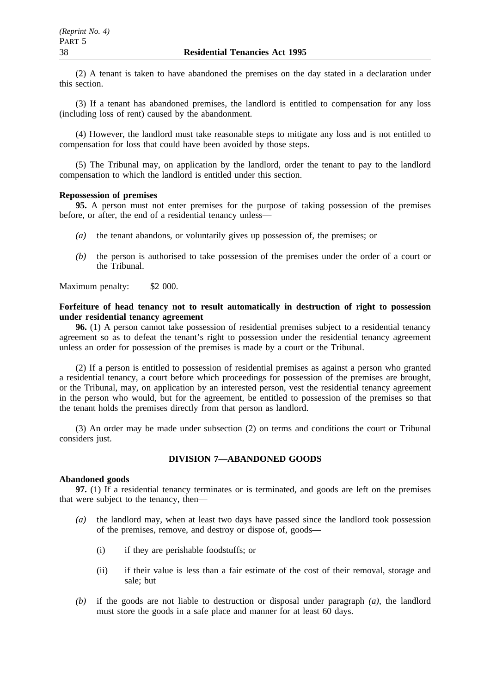(2) A tenant is taken to have abandoned the premises on the day stated in a declaration under this section.

(3) If a tenant has abandoned premises, the landlord is entitled to compensation for any loss (including loss of rent) caused by the abandonment.

(4) However, the landlord must take reasonable steps to mitigate any loss and is not entitled to compensation for loss that could have been avoided by those steps.

(5) The Tribunal may, on application by the landlord, order the tenant to pay to the landlord compensation to which the landlord is entitled under this section.

# **Repossession of premises**

**95.** A person must not enter premises for the purpose of taking possession of the premises before, or after, the end of a residential tenancy unless—

- *(a)* the tenant abandons, or voluntarily gives up possession of, the premises; or
- *(b)* the person is authorised to take possession of the premises under the order of a court or the Tribunal.

Maximum penalty: \$2 000.

# **Forfeiture of head tenancy not to result automatically in destruction of right to possession under residential tenancy agreement**

**96.** (1) A person cannot take possession of residential premises subject to a residential tenancy agreement so as to defeat the tenant's right to possession under the residential tenancy agreement unless an order for possession of the premises is made by a court or the Tribunal.

(2) If a person is entitled to possession of residential premises as against a person who granted a residential tenancy, a court before which proceedings for possession of the premises are brought, or the Tribunal, may, on application by an interested person, vest the residential tenancy agreement in the person who would, but for the agreement, be entitled to possession of the premises so that the tenant holds the premises directly from that person as landlord.

(3) An order may be made under subsection (2) on terms and conditions the court or Tribunal considers just.

# **DIVISION 7—ABANDONED GOODS**

## **Abandoned goods**

**97.** (1) If a residential tenancy terminates or is terminated, and goods are left on the premises that were subject to the tenancy, then—

- *(a)* the landlord may, when at least two days have passed since the landlord took possession of the premises, remove, and destroy or dispose of, goods—
	- (i) if they are perishable foodstuffs; or
	- (ii) if their value is less than a fair estimate of the cost of their removal, storage and sale; but
- *(b)* if the goods are not liable to destruction or disposal under paragraph *(a)*, the landlord must store the goods in a safe place and manner for at least 60 days.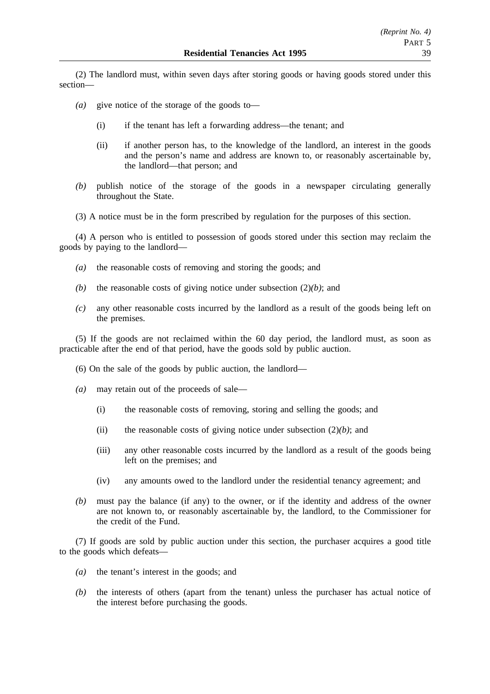(2) The landlord must, within seven days after storing goods or having goods stored under this section—

- *(a)* give notice of the storage of the goods to—
	- (i) if the tenant has left a forwarding address—the tenant; and
	- (ii) if another person has, to the knowledge of the landlord, an interest in the goods and the person's name and address are known to, or reasonably ascertainable by, the landlord—that person; and
- *(b)* publish notice of the storage of the goods in a newspaper circulating generally throughout the State.
- (3) A notice must be in the form prescribed by regulation for the purposes of this section.

(4) A person who is entitled to possession of goods stored under this section may reclaim the goods by paying to the landlord—

- *(a)* the reasonable costs of removing and storing the goods; and
- *(b)* the reasonable costs of giving notice under subsection (2)*(b)*; and
- *(c)* any other reasonable costs incurred by the landlord as a result of the goods being left on the premises.

(5) If the goods are not reclaimed within the 60 day period, the landlord must, as soon as practicable after the end of that period, have the goods sold by public auction.

- (6) On the sale of the goods by public auction, the landlord—
- *(a)* may retain out of the proceeds of sale—
	- (i) the reasonable costs of removing, storing and selling the goods; and
	- (ii) the reasonable costs of giving notice under subsection (2)*(b)*; and
	- (iii) any other reasonable costs incurred by the landlord as a result of the goods being left on the premises; and
	- (iv) any amounts owed to the landlord under the residential tenancy agreement; and
- *(b)* must pay the balance (if any) to the owner, or if the identity and address of the owner are not known to, or reasonably ascertainable by, the landlord, to the Commissioner for the credit of the Fund.

(7) If goods are sold by public auction under this section, the purchaser acquires a good title to the goods which defeats—

- *(a)* the tenant's interest in the goods; and
- *(b)* the interests of others (apart from the tenant) unless the purchaser has actual notice of the interest before purchasing the goods.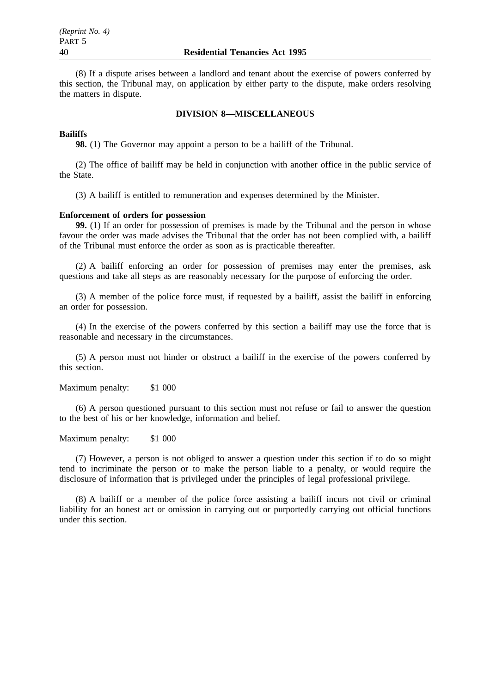(8) If a dispute arises between a landlord and tenant about the exercise of powers conferred by this section, the Tribunal may, on application by either party to the dispute, make orders resolving the matters in dispute.

## **DIVISION 8—MISCELLANEOUS**

### **Bailiffs**

**98.** (1) The Governor may appoint a person to be a bailiff of the Tribunal.

(2) The office of bailiff may be held in conjunction with another office in the public service of the State.

(3) A bailiff is entitled to remuneration and expenses determined by the Minister.

### **Enforcement of orders for possession**

**99.** (1) If an order for possession of premises is made by the Tribunal and the person in whose favour the order was made advises the Tribunal that the order has not been complied with, a bailiff of the Tribunal must enforce the order as soon as is practicable thereafter.

(2) A bailiff enforcing an order for possession of premises may enter the premises, ask questions and take all steps as are reasonably necessary for the purpose of enforcing the order.

(3) A member of the police force must, if requested by a bailiff, assist the bailiff in enforcing an order for possession.

(4) In the exercise of the powers conferred by this section a bailiff may use the force that is reasonable and necessary in the circumstances.

(5) A person must not hinder or obstruct a bailiff in the exercise of the powers conferred by this section.

Maximum penalty: \$1 000

(6) A person questioned pursuant to this section must not refuse or fail to answer the question to the best of his or her knowledge, information and belief.

Maximum penalty: \$1 000

(7) However, a person is not obliged to answer a question under this section if to do so might tend to incriminate the person or to make the person liable to a penalty, or would require the disclosure of information that is privileged under the principles of legal professional privilege.

(8) A bailiff or a member of the police force assisting a bailiff incurs not civil or criminal liability for an honest act or omission in carrying out or purportedly carrying out official functions under this section.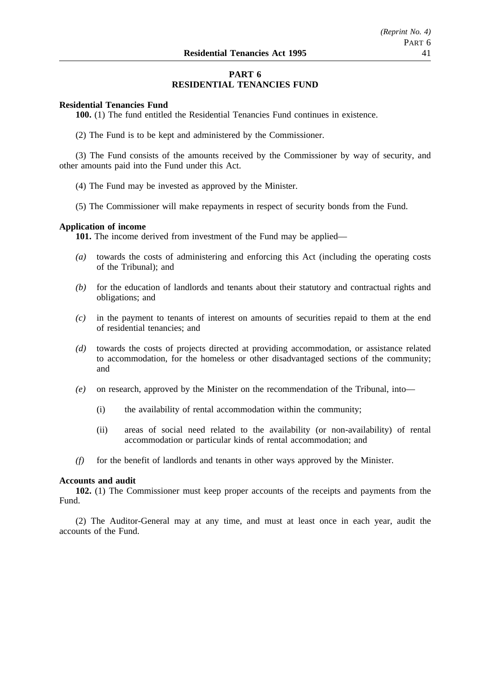# **PART 6 RESIDENTIAL TENANCIES FUND**

## **Residential Tenancies Fund**

**100.** (1) The fund entitled the Residential Tenancies Fund continues in existence.

(2) The Fund is to be kept and administered by the Commissioner.

(3) The Fund consists of the amounts received by the Commissioner by way of security, and other amounts paid into the Fund under this Act.

- (4) The Fund may be invested as approved by the Minister.
- (5) The Commissioner will make repayments in respect of security bonds from the Fund.

### **Application of income**

**101.** The income derived from investment of the Fund may be applied—

- *(a)* towards the costs of administering and enforcing this Act (including the operating costs of the Tribunal); and
- *(b)* for the education of landlords and tenants about their statutory and contractual rights and obligations; and
- *(c)* in the payment to tenants of interest on amounts of securities repaid to them at the end of residential tenancies; and
- *(d)* towards the costs of projects directed at providing accommodation, or assistance related to accommodation, for the homeless or other disadvantaged sections of the community; and
- *(e)* on research, approved by the Minister on the recommendation of the Tribunal, into—
	- (i) the availability of rental accommodation within the community;
	- (ii) areas of social need related to the availability (or non-availability) of rental accommodation or particular kinds of rental accommodation; and
- *(f)* for the benefit of landlords and tenants in other ways approved by the Minister.

### **Accounts and audit**

**102.** (1) The Commissioner must keep proper accounts of the receipts and payments from the Fund.

(2) The Auditor-General may at any time, and must at least once in each year, audit the accounts of the Fund.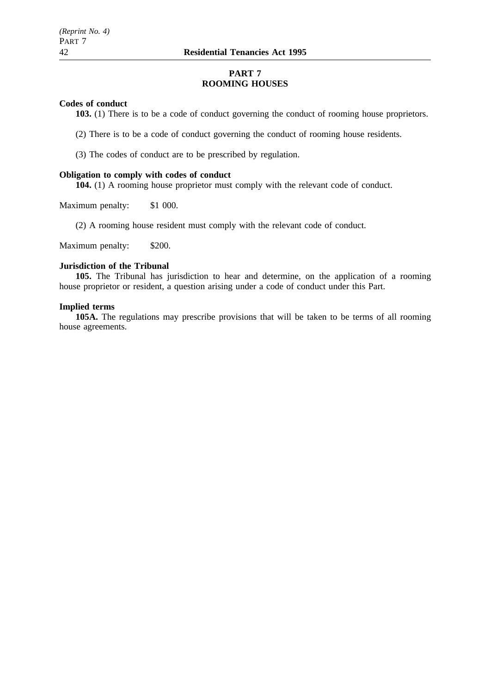# **PART 7 ROOMING HOUSES**

## **Codes of conduct**

**103.** (1) There is to be a code of conduct governing the conduct of rooming house proprietors.

(2) There is to be a code of conduct governing the conduct of rooming house residents.

(3) The codes of conduct are to be prescribed by regulation.

### **Obligation to comply with codes of conduct**

**104.** (1) A rooming house proprietor must comply with the relevant code of conduct.

Maximum penalty: \$1 000.

(2) A rooming house resident must comply with the relevant code of conduct.

Maximum penalty: \$200.

# **Jurisdiction of the Tribunal**

**105.** The Tribunal has jurisdiction to hear and determine, on the application of a rooming house proprietor or resident, a question arising under a code of conduct under this Part.

# **Implied terms**

**105A.** The regulations may prescribe provisions that will be taken to be terms of all rooming house agreements.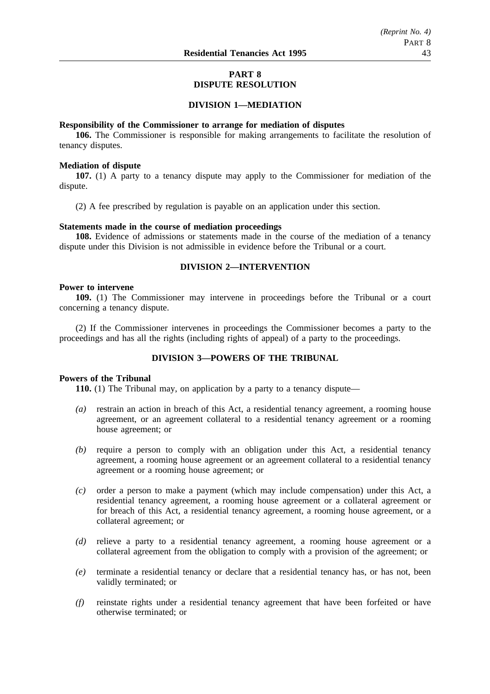# **PART 8 DISPUTE RESOLUTION**

## **DIVISION 1—MEDIATION**

### **Responsibility of the Commissioner to arrange for mediation of disputes**

**106.** The Commissioner is responsible for making arrangements to facilitate the resolution of tenancy disputes.

### **Mediation of dispute**

**107.** (1) A party to a tenancy dispute may apply to the Commissioner for mediation of the dispute.

(2) A fee prescribed by regulation is payable on an application under this section.

### **Statements made in the course of mediation proceedings**

**108.** Evidence of admissions or statements made in the course of the mediation of a tenancy dispute under this Division is not admissible in evidence before the Tribunal or a court.

# **DIVISION 2—INTERVENTION**

### **Power to intervene**

**109.** (1) The Commissioner may intervene in proceedings before the Tribunal or a court concerning a tenancy dispute.

(2) If the Commissioner intervenes in proceedings the Commissioner becomes a party to the proceedings and has all the rights (including rights of appeal) of a party to the proceedings.

# **DIVISION 3—POWERS OF THE TRIBUNAL**

# **Powers of the Tribunal**

**110.** (1) The Tribunal may, on application by a party to a tenancy dispute—

- *(a)* restrain an action in breach of this Act, a residential tenancy agreement, a rooming house agreement, or an agreement collateral to a residential tenancy agreement or a rooming house agreement; or
- *(b)* require a person to comply with an obligation under this Act, a residential tenancy agreement, a rooming house agreement or an agreement collateral to a residential tenancy agreement or a rooming house agreement; or
- *(c)* order a person to make a payment (which may include compensation) under this Act, a residential tenancy agreement, a rooming house agreement or a collateral agreement or for breach of this Act, a residential tenancy agreement, a rooming house agreement, or a collateral agreement; or
- *(d)* relieve a party to a residential tenancy agreement, a rooming house agreement or a collateral agreement from the obligation to comply with a provision of the agreement; or
- *(e)* terminate a residential tenancy or declare that a residential tenancy has, or has not, been validly terminated; or
- *(f)* reinstate rights under a residential tenancy agreement that have been forfeited or have otherwise terminated; or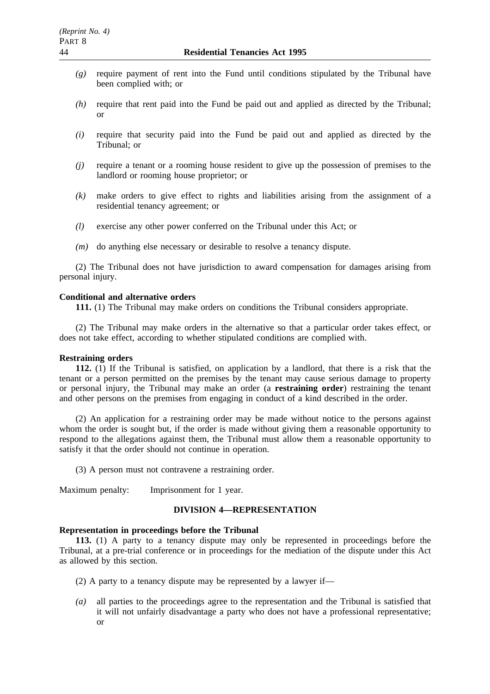- *(g)* require payment of rent into the Fund until conditions stipulated by the Tribunal have been complied with; or
- *(h)* require that rent paid into the Fund be paid out and applied as directed by the Tribunal; or
- *(i)* require that security paid into the Fund be paid out and applied as directed by the Tribunal; or
- *(j)* require a tenant or a rooming house resident to give up the possession of premises to the landlord or rooming house proprietor; or
- *(k)* make orders to give effect to rights and liabilities arising from the assignment of a residential tenancy agreement; or
- *(l)* exercise any other power conferred on the Tribunal under this Act; or
- *(m)* do anything else necessary or desirable to resolve a tenancy dispute.

(2) The Tribunal does not have jurisdiction to award compensation for damages arising from personal injury.

### **Conditional and alternative orders**

**111.** (1) The Tribunal may make orders on conditions the Tribunal considers appropriate.

(2) The Tribunal may make orders in the alternative so that a particular order takes effect, or does not take effect, according to whether stipulated conditions are complied with.

### **Restraining orders**

**112.** (1) If the Tribunal is satisfied, on application by a landlord, that there is a risk that the tenant or a person permitted on the premises by the tenant may cause serious damage to property or personal injury, the Tribunal may make an order (a **restraining order**) restraining the tenant and other persons on the premises from engaging in conduct of a kind described in the order.

(2) An application for a restraining order may be made without notice to the persons against whom the order is sought but, if the order is made without giving them a reasonable opportunity to respond to the allegations against them, the Tribunal must allow them a reasonable opportunity to satisfy it that the order should not continue in operation.

(3) A person must not contravene a restraining order.

Maximum penalty: Imprisonment for 1 year.

# **DIVISION 4—REPRESENTATION**

## **Representation in proceedings before the Tribunal**

**113.** (1) A party to a tenancy dispute may only be represented in proceedings before the Tribunal, at a pre-trial conference or in proceedings for the mediation of the dispute under this Act as allowed by this section.

- (2) A party to a tenancy dispute may be represented by a lawyer if—
- *(a)* all parties to the proceedings agree to the representation and the Tribunal is satisfied that it will not unfairly disadvantage a party who does not have a professional representative; or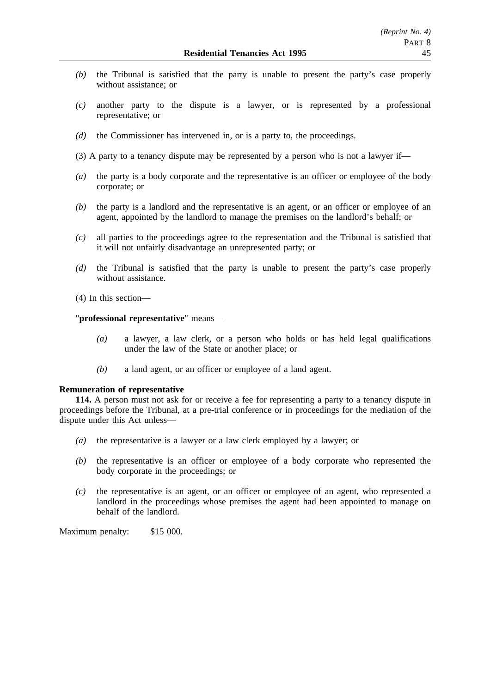- *(b)* the Tribunal is satisfied that the party is unable to present the party's case properly without assistance; or
- *(c)* another party to the dispute is a lawyer, or is represented by a professional representative; or
- *(d)* the Commissioner has intervened in, or is a party to, the proceedings.
- (3) A party to a tenancy dispute may be represented by a person who is not a lawyer if—
- *(a)* the party is a body corporate and the representative is an officer or employee of the body corporate; or
- *(b)* the party is a landlord and the representative is an agent, or an officer or employee of an agent, appointed by the landlord to manage the premises on the landlord's behalf; or
- *(c)* all parties to the proceedings agree to the representation and the Tribunal is satisfied that it will not unfairly disadvantage an unrepresented party; or
- *(d)* the Tribunal is satisfied that the party is unable to present the party's case properly without assistance.
- (4) In this section—

## "**professional representative**" means—

- *(a)* a lawyer, a law clerk, or a person who holds or has held legal qualifications under the law of the State or another place; or
- *(b)* a land agent, or an officer or employee of a land agent.

### **Remuneration of representative**

**114.** A person must not ask for or receive a fee for representing a party to a tenancy dispute in proceedings before the Tribunal, at a pre-trial conference or in proceedings for the mediation of the dispute under this Act unless—

- *(a)* the representative is a lawyer or a law clerk employed by a lawyer; or
- *(b)* the representative is an officer or employee of a body corporate who represented the body corporate in the proceedings; or
- *(c)* the representative is an agent, or an officer or employee of an agent, who represented a landlord in the proceedings whose premises the agent had been appointed to manage on behalf of the landlord.

Maximum penalty: \$15 000.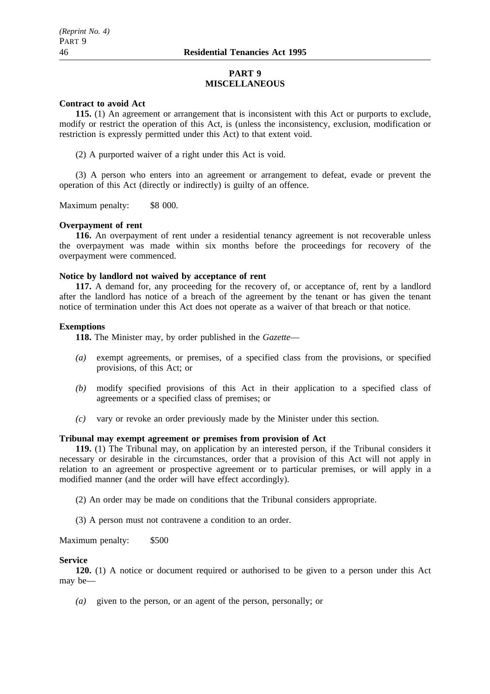## **PART 9 MISCELLANEOUS**

### **Contract to avoid Act**

**115.** (1) An agreement or arrangement that is inconsistent with this Act or purports to exclude, modify or restrict the operation of this Act, is (unless the inconsistency, exclusion, modification or restriction is expressly permitted under this Act) to that extent void.

(2) A purported waiver of a right under this Act is void.

(3) A person who enters into an agreement or arrangement to defeat, evade or prevent the operation of this Act (directly or indirectly) is guilty of an offence.

Maximum penalty: \$8 000.

### **Overpayment of rent**

**116.** An overpayment of rent under a residential tenancy agreement is not recoverable unless the overpayment was made within six months before the proceedings for recovery of the overpayment were commenced.

## **Notice by landlord not waived by acceptance of rent**

**117.** A demand for, any proceeding for the recovery of, or acceptance of, rent by a landlord after the landlord has notice of a breach of the agreement by the tenant or has given the tenant notice of termination under this Act does not operate as a waiver of that breach or that notice.

### **Exemptions**

**118.** The Minister may, by order published in the *Gazette*—

- *(a)* exempt agreements, or premises, of a specified class from the provisions, or specified provisions, of this Act; or
- *(b)* modify specified provisions of this Act in their application to a specified class of agreements or a specified class of premises; or
- *(c)* vary or revoke an order previously made by the Minister under this section.

# **Tribunal may exempt agreement or premises from provision of Act**

**119.** (1) The Tribunal may, on application by an interested person, if the Tribunal considers it necessary or desirable in the circumstances, order that a provision of this Act will not apply in relation to an agreement or prospective agreement or to particular premises, or will apply in a modified manner (and the order will have effect accordingly).

(2) An order may be made on conditions that the Tribunal considers appropriate.

(3) A person must not contravene a condition to an order.

Maximum penalty: \$500

## **Service**

**120.** (1) A notice or document required or authorised to be given to a person under this Act may be—

*(a)* given to the person, or an agent of the person, personally; or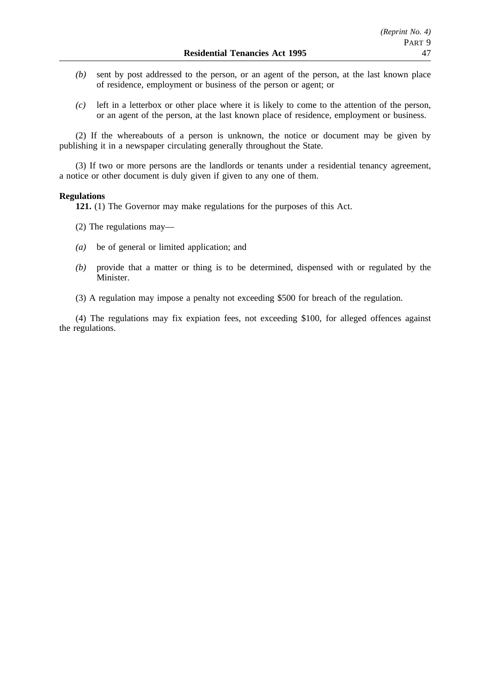- *(b)* sent by post addressed to the person, or an agent of the person, at the last known place of residence, employment or business of the person or agent; or
- *(c)* left in a letterbox or other place where it is likely to come to the attention of the person, or an agent of the person, at the last known place of residence, employment or business.

(2) If the whereabouts of a person is unknown, the notice or document may be given by publishing it in a newspaper circulating generally throughout the State.

(3) If two or more persons are the landlords or tenants under a residential tenancy agreement, a notice or other document is duly given if given to any one of them.

### **Regulations**

**121.** (1) The Governor may make regulations for the purposes of this Act.

- (2) The regulations may—
- *(a)* be of general or limited application; and
- *(b)* provide that a matter or thing is to be determined, dispensed with or regulated by the Minister.
- (3) A regulation may impose a penalty not exceeding \$500 for breach of the regulation.

(4) The regulations may fix expiation fees, not exceeding \$100, for alleged offences against the regulations.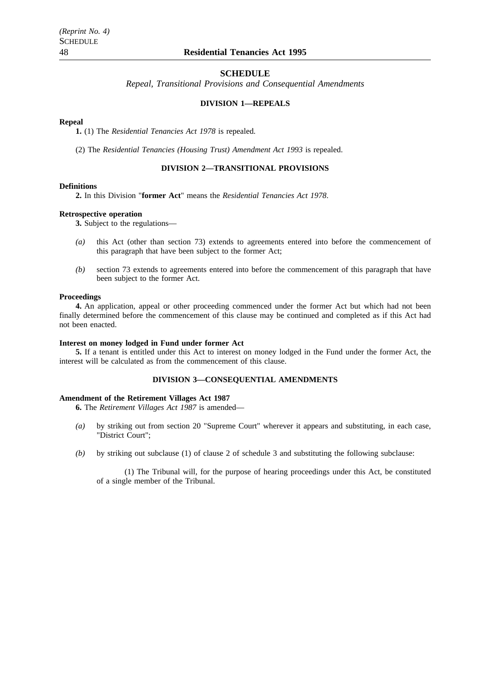### **SCHEDULE**

*Repeal, Transitional Provisions and Consequential Amendments*

## **DIVISION 1—REPEALS**

### **Repeal**

**1.** (1) The *Residential Tenancies Act 1978* is repealed.

(2) The *Residential Tenancies (Housing Trust) Amendment Act 1993* is repealed.

# **DIVISION 2—TRANSITIONAL PROVISIONS**

### **Definitions**

**2.** In this Division "**former Act**" means the *Residential Tenancies Act 1978*.

### **Retrospective operation**

**3.** Subject to the regulations—

- *(a)* this Act (other than section 73) extends to agreements entered into before the commencement of this paragraph that have been subject to the former Act;
- *(b)* section 73 extends to agreements entered into before the commencement of this paragraph that have been subject to the former Act.

### **Proceedings**

**4.** An application, appeal or other proceeding commenced under the former Act but which had not been finally determined before the commencement of this clause may be continued and completed as if this Act had not been enacted.

### **Interest on money lodged in Fund under former Act**

**5.** If a tenant is entitled under this Act to interest on money lodged in the Fund under the former Act, the interest will be calculated as from the commencement of this clause.

## **DIVISION 3—CONSEQUENTIAL AMENDMENTS**

### **Amendment of the Retirement Villages Act 1987**

**6.** The *Retirement Villages Act 1987* is amended—

- *(a)* by striking out from section 20 "Supreme Court" wherever it appears and substituting, in each case, "District Court";
- *(b)* by striking out subclause (1) of clause 2 of schedule 3 and substituting the following subclause:

(1) The Tribunal will, for the purpose of hearing proceedings under this Act, be constituted of a single member of the Tribunal.